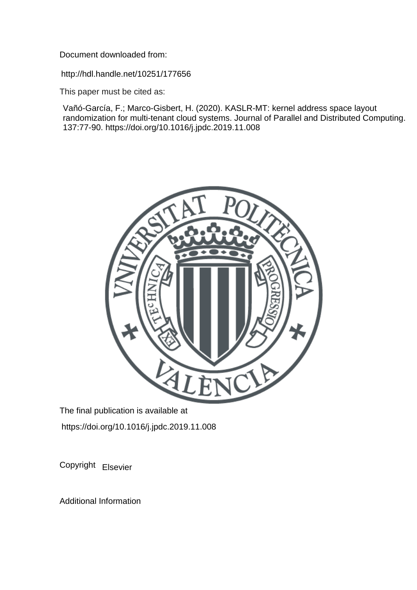Document downloaded from:

http://hdl.handle.net/10251/177656

This paper must be cited as:

Vañó-García, F.; Marco-Gisbert, H. (2020). KASLR-MT: kernel address space layout randomization for multi-tenant cloud systems. Journal of Parallel and Distributed Computing. 137:77-90. https://doi.org/10.1016/j.jpdc.2019.11.008



The final publication is available at https://doi.org/10.1016/j.jpdc.2019.11.008

Copyright Elsevier

Additional Information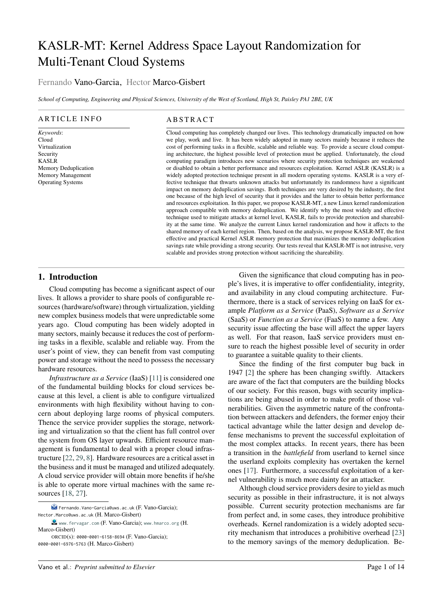# KASLR-MT: Kernel Address Space Layout Randomization for Multi-Tenant Cloud Systems

# Fernando Vano-Garcia, Hector Marco-Gisbert

*School of Computing, Engineering and Physical Sciences, University of the West of Scotland, High St, Paisley PA1 2BE, UK*

#### ARTICLE INFO

*Keywords*: Cloud Virtualization Security KASLR Memory Deduplication Memory Management Operating Systems

#### A B S T R A C T

Cloud computing has completely changed our lives. This technology dramatically impacted on how we play, work and live. It has been widely adopted in many sectors mainly because it reduces the cost of performing tasks in a flexible, scalable and reliable way. To provide a secure cloud computing architecture, the highest possible level of protection must be applied. Unfortunately, the cloud computing paradigm introduces new scenarios where security protection techniques are weakened or disabled to obtain a better performance and resources exploitation. Kernel ASLR (KASLR) is a widely adopted protection technique present in all modern operating systems. KASLR is a very effective technique that thwarts unknown attacks but unfortunately its randomness have a significant impact on memory deduplication savings. Both techniques are very desired by the industry, the first one because of the high level of security that it provides and the latter to obtain better performance and resources exploitation. In this paper, we propose KASLR-MT, a new Linux kernel randomization approach compatible with memory deduplication. We identify why the most widely and effective technique used to mitigate attacks at kernel level, KASLR, fails to provide protection and shareability at the same time. We analyze the current Linux kernel randomization and how it affects to the shared memory of each kernel region. Then, based on the analysis, we propose KASLR-MT, the first effective and practical Kernel ASLR memory protection that maximizes the memory deduplication savings rate while providing a strong security. Our tests reveal that KASLR-MT is not intrusive, very scalable and provides strong protection without sacrificing the shareability.

#### **1. Introduction**

Cloud computing has become a significant aspect of our lives. It allows a provider to share pools of configurable resources (hardware/software) through virtualization, yielding new complex business models that were unpredictable some years ago. Cloud computing has been widely adopted in many sectors, mainly because it reduces the cost of performing tasks in a flexible, scalable and reliable way. From the user's point of view, they can benefit from vast computing power and storage without the need to possess the necessary hardware resources.

*Infrastructure as a Service* (IaaS) [\[11\]](#page-14-0) is considered one of the fundamental building blocks for cloud services because at this level, a client is able to configure virtualized environments with high flexibility without having to concern about deploying large rooms of physical computers. Thence the service provider supplies the storage, networking and virtualization so that the client has full control over the system from OS layer upwards. Efficient resource management is fundamental to deal with a proper cloud infrastructure [\[22,](#page-14-1) [29,](#page-14-2) [8\]](#page-13-0). Hardware resources are a critical asset in the business and it must be managed and utilized adequately. A cloud service provider will obtain more benefits if he/she is able to operate more virtual machines with the same resources [\[18,](#page-14-3) [27\]](#page-14-4).

Fernando.Vano-Garcia@uws.ac.uk (F. Vano-Garcia); Hector.Marco@uws.ac.uk (H. Marco-Gisbert)

<www.fervagar.com> (F. Vano-Garcia); <www.hmarco.org> (H. Marco-Gisbert)

ORCID(s): 0000-0001-6158-8694 (F. Vano-Garcia); 0000-0001-6976-5763 (H. Marco-Gisbert)

Given the significance that cloud computing has in people's lives, it is imperative to offer confidentiality, integrity, and availability in any cloud computing architecture. Furthermore, there is a stack of services relying on IaaS for example *Platform as a Service* (PaaS), *Software as a Service* (SaaS) or *Function as a Service* (FaaS) to name a few. Any security issue affecting the base will affect the upper layers as well. For that reason, IaaS service providers must ensure to reach the highest possible level of security in order to guarantee a suitable quality to their clients.

Since the finding of the first computer bug back in 1947 [\[2\]](#page-13-1) the sphere has been changing swiftly. Attackers are aware of the fact that computers are the building blocks of our society. For this reason, bugs with security implications are being abused in order to make profit of those vulnerabilities. Given the asymmetric nature of the confrontation between attackers and defenders, the former enjoy their tactical advantage while the latter design and develop defense mechanisms to prevent the successful exploitation of the most complex attacks. In recent years, there has been a transition in the *battlefield* from userland to kernel since the userland exploits complexity has overtaken the kernel ones [\[17\]](#page-14-5). Furthermore, a successful exploitation of a kernel vulnerability is much more dainty for an attacker.

Although cloud service providers desire to yield as much security as possible in their infrastructure, it is not always possible. Current security protection mechanisms are far from perfect and, in some cases, they introduce prohibitive overheads. Kernel randomization is a widely adopted security mechanism that introduces a prohibitive overhead [\[23\]](#page-14-6) to the memory savings of the memory deduplication. Be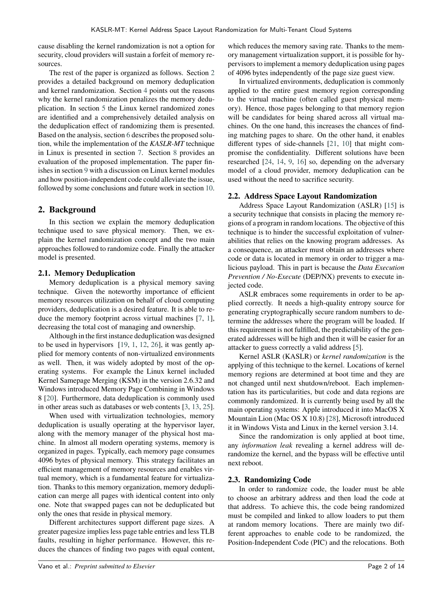cause disabling the kernel randomization is not a option for security, cloud providers will sustain a forfeit of memory resources.

The rest of the paper is organized as follows. Section [2](#page-2-0) provides a detailed background on memory deduplication and kernel randomization. Section [4](#page-4-0) points out the reasons why the kernel randomization penalizes the memory deduplication. In section [5](#page-5-0) the Linux kernel randomized zones are identified and a comprehensively detailed analysis on the deduplication effect of randomizing them is presented. Based on the analysis, section [6](#page-10-0) describes the proposed solution, while the implementation of the *KASLR-MT* technique in Linux is presented in section [7.](#page-11-0) Section [8](#page-12-0) provides an evaluation of the proposed implementation. The paper finishes in section [9](#page-13-2) with a discussion on Linux kernel modules and how position-independent code could alleviate the issue, followed by some conclusions and future work in section [10.](#page-13-3)

# <span id="page-2-0"></span>**2. Background**

In this section we explain the memory deduplication technique used to save physical memory. Then, we explain the kernel randomization concept and the two main approaches followed to randomize code. Finally the attacker model is presented.

# <span id="page-2-2"></span>**2.1. Memory Deduplication**

Memory deduplication is a physical memory saving technique. Given the noteworthy importance of efficient memory resources utilization on behalf of cloud computing providers, deduplication is a desired feature. It is able to re-duce the memory footprint across virtual machines [\[7,](#page-13-4) [1\]](#page-13-5), decreasing the total cost of managing and ownership.

Although in the first instance deduplication was designed to be used in hypervisors [\[19,](#page-14-7) [1,](#page-13-5) [12,](#page-14-8) [26\]](#page-14-9), it was gently applied for memory contents of non-virtualized environments as well. Then, it was widely adopted by most of the operating systems. For example the Linux kernel included Kernel Samepage Merging (KSM) in the version 2.6.32 and Windows introduced Memory Page Combining in Windows 8 [\[20\]](#page-14-10). Furthermore, data deduplication is commonly used in other areas such as databases or web contents [\[3,](#page-13-6) [13,](#page-14-11) [25\]](#page-14-12).

When used with virtualization technologies, memory deduplication is usually operating at the hypervisor layer, along with the memory manager of the physical host machine. In almost all modern operating systems, memory is organized in pages. Typically, each memory page consumes 4096 bytes of physical memory. This strategy facilitates an efficient management of memory resources and enables virtual memory, which is a fundamental feature for virtualization. Thanks to this memory organization, memory deduplication can merge all pages with identical content into only one. Note that swapped pages can not be deduplicated but only the ones that reside in physical memory.

Different architectures support different page sizes. A greater pagesize implies less page table entries and less TLB faults, resulting in higher performance. However, this reduces the chances of finding two pages with equal content,

which reduces the memory saving rate. Thanks to the memory management virtualization support, it is possible for hypervisors to implement a memory deduplication using pages of 4096 bytes independently of the page size guest view.

In virtualized environments, deduplication is commonly applied to the entire guest memory region corresponding to the virtual machine (often called guest physical memory). Hence, those pages belonging to that memory region will be candidates for being shared across all virtual machines. On the one hand, this increases the chances of finding matching pages to share. On the other hand, it enables different types of side-channels [\[21,](#page-14-13) [10\]](#page-14-14) that might compromise the confidentiality. Different solutions have been researched [\[24,](#page-14-15) [14,](#page-14-16) [9,](#page-14-17) [16\]](#page-14-18) so, depending on the adversary model of a cloud provider, memory deduplication can be used without the need to sacrifice security.

# **2.2. Address Space Layout Randomization**

Address Space Layout Randomization (ASLR) [\[15\]](#page-14-19) is a security technique that consists in placing the memory regions of a program in random locations. The objective of this technique is to hinder the successful exploitation of vulnerabilities that relies on the knowing program addresses. As a consequence, an attacker must obtain an addresses where code or data is located in memory in order to trigger a malicious payload. This in part is because the *Data Execution Prevention / No-Execute* (DEP/NX) prevents to execute injected code.

ASLR embraces some requirements in order to be applied correctly. It needs a high-quality entropy source for generating cryptographically secure random numbers to determine the addresses where the program will be loaded. If this requirement is not fulfilled, the predictability of the generated addresses will be high and then it will be easier for an attacker to guess correctly a valid address [\[5\]](#page-13-7).

Kernel ASLR (KASLR) or *kernel randomization* is the applying of this technique to the kernel. Locations of kernel memory regions are determined at boot time and they are not changed until next shutdown/reboot. Each implementation has its particularities, but code and data regions are commonly randomized. It is currently being used by all the main operating systems: Apple introduced it into MacOS X Mountain Lion (Mac OS X 10.8) [\[28\]](#page-14-20), Microsoft introduced it in Windows Vista and Linux in the kernel version 3.14.

Since the randomization is only applied at boot time, any *information leak* revealing a kernel address will derandomize the kernel, and the bypass will be effective until next reboot.

# <span id="page-2-1"></span>**2.3. Randomizing Code**

In order to randomize code, the loader must be able to choose an arbitrary address and then load the code at that address. To achieve this, the code being randomized must be compiled and linked to allow loaders to put them at random memory locations. There are mainly two different approaches to enable code to be randomized, the Position-Independent Code (PIC) and the relocations. Both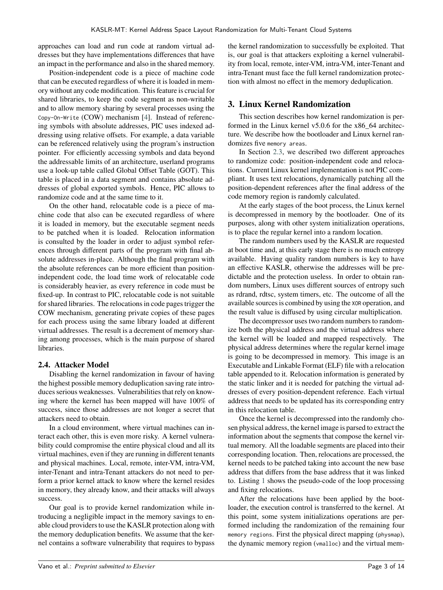approaches can load and run code at random virtual addresses but they have implementations differences that have an impact in the performance and also in the shared memory.

Position-independent code is a piece of machine code that can be executed regardless of where it is loaded in memory without any code modification. This feature is crucial for shared libraries, to keep the code segment as non-writable and to allow memory sharing by several processes using the Copy-On-Write (COW) mechanism [\[4\]](#page-13-8). Instead of referencing symbols with absolute addresses, PIC uses indexed addressing using relative offsets. For example, a data variable can be referenced relatively using the program's instruction pointer. For efficiently accessing symbols and data beyond the addressable limits of an architecture, userland programs use a look-up table called Global Offset Table (GOT). This table is placed in a data segment and contains absolute addresses of global exported symbols. Hence, PIC allows to randomize code and at the same time to it.

On the other hand, relocatable code is a piece of machine code that also can be executed regardless of where it is loaded in memory, but the executable segment needs to be patched when it is loaded. Relocation information is consulted by the loader in order to adjust symbol references through different parts of the program with final absolute addresses in-place. Although the final program with the absolute references can be more efficient than positionindependent code, the load time work of relocatable code is considerably heavier, as every reference in code must be fixed-up. In contrast to PIC, relocatable code is not suitable for shared libraries. The relocations in code pages trigger the COW mechanism, generating private copies of these pages for each process using the same library loaded at different virtual addresses. The result is a decrement of memory sharing among processes, which is the main purpose of shared libraries.

# <span id="page-3-1"></span>**2.4. Attacker Model**

Disabling the kernel randomization in favour of having the highest possible memory deduplication saving rate introduces serious weaknesses. Vulnerabilities that rely on knowing where the kernel has been mapped will have 100% of success, since those addresses are not longer a secret that attackers need to obtain.

In a cloud environment, where virtual machines can interact each other, this is even more risky. A kernel vulnerability could compromise the entire physical cloud and all its virtual machines, even if they are running in different tenants and physical machines. Local, remote, inter-VM, intra-VM, inter-Tenant and intra-Tenant attackers do not need to perform a prior kernel attack to know where the kernel resides in memory, they already know, and their attacks will always success.

Our goal is to provide kernel randomization while introducing a negligible impact in the memory savings to enable cloud providers to use the KASLR protection along with the memory deduplication benefits. We assume that the kernel contains a software vulnerability that requires to bypass the kernel randomization to successfully be exploited. That is, our goal is that attackers exploiting a kernel vulnerability from local, remote, inter-VM, intra-VM, inter-Tenant and intra-Tenant must face the full kernel randomization protection with almost no effect in the memory deduplication.

# <span id="page-3-0"></span>**3. Linux Kernel Randomization**

This section describes how kernel randomization is performed in the Linux kernel v5.0.6 for the x86\_64 architecture. We describe how the bootloader and Linux kernel randomizes five memory areas.

In Section [2.3,](#page-2-1) we described two different approaches to randomize code: position-independent code and relocations. Current Linux kernel implementation is not PIC compliant. It uses text relocations, dynamically patching all the position-dependent references after the final address of the code memory region is randomly calculated.

At the early stages of the boot process, the Linux kernel is decompressed in memory by the bootloader. One of its purposes, along with other system initialization operations, is to place the regular kernel into a random location.

The random numbers used by the KASLR are requested at boot time and, at this early stage there is no much entropy available. Having quality random numbers is key to have an effective KASLR, otherwise the addresses will be predictable and the protection useless. In order to obtain random numbers, Linux uses different sources of entropy such as rdrand, rdtsc, system timers, etc. The outcome of all the available sources is combined by using the XOR operation, and the result value is diffused by using circular multiplication.

The decompressor uses two random numbers to randomize both the physical address and the virtual address where the kernel will be loaded and mapped respectively. The physical address determines where the regular kernel image is going to be decompressed in memory. This image is an Executable and Linkable Format (ELF) file with a relocation table appended to it. Relocation information is generated by the static linker and it is needed for patching the virtual addresses of every position-dependent reference. Each virtual address that needs to be updated has its corresponding entry in this relocation table.

Once the kernel is decompressed into the randomly chosen physical address, the kernel image is parsed to extract the information about the segments that compose the kernel virtual memory. All the loadable segments are placed into their corresponding location. Then, relocations are processed, the kernel needs to be patched taking into account the new base address that differs from the base address that it was linked to. Listing [1](#page-4-1) shows the pseudo-code of the loop processing and fixing relocations.

After the relocations have been applied by the bootloader, the execution control is transferred to the kernel. At this point, some system initializations operations are performed including the randomization of the remaining four memory regions. First the physical direct mapping (physmap), the dynamic memory region (vmalloc) and the virtual mem-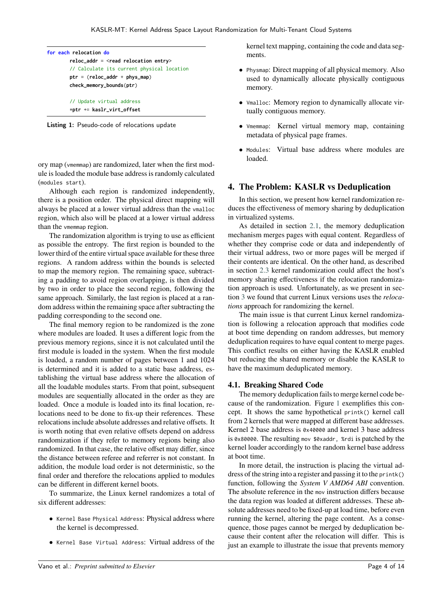```
for each relocation do
reloc_addr = <read relocation entry>
// Calculate its current physical location
ptr = (reloc_addr + phys_map)
check_memory_bounds(ptr)
// Update virtual address
*ptr += kaslr_virt_offset
```
Listing 1: Pseudo-code of relocations update

ory map (vmemmap) are randomized, later when the first module is loaded the module base address is randomly calculated (modules start).

Although each region is randomized independently, there is a position order. The physical direct mapping will always be placed at a lower virtual address than the vmalloc region, which also will be placed at a lower virtual address than the vmemmap region.

The randomization algorithm is trying to use as efficient as possible the entropy. The first region is bounded to the lower third of the entire virtual space available for these three regions. A random address within the bounds is selected to map the memory region. The remaining space, subtracting a padding to avoid region overlapping, is then divided by two in order to place the second region, following the same approach. Similarly, the last region is placed at a random address within the remaining space after subtracting the padding corresponding to the second one.

The final memory region to be randomized is the zone where modules are loaded. It uses a different logic from the previous memory regions, since it is not calculated until the first module is loaded in the system. When the first module is loaded, a random number of pages between 1 and 1024 is determined and it is added to a static base address, establishing the virtual base address where the allocation of all the loadable modules starts. From that point, subsequent modules are sequentially allocated in the order as they are loaded. Once a module is loaded into its final location, relocations need to be done to fix-up their references. These relocations include absolute addresses and relative offsets. It is worth noting that even relative offsets depend on address randomization if they refer to memory regions being also randomized. In that case, the relative offset may differ, since the distance between referee and referrer is not constant. In addition, the module load order is not deterministic, so the final order and therefore the relocations applied to modules can be different in different kernel boots.

To summarize, the Linux kernel randomizes a total of six different addresses:

- Kernel Base Physical Address: Physical address where the kernel is decompressed.
- Kernel Base Virtual Address: Virtual address of the

kernel text mapping, containing the code and data segments.

- Physmap: Direct mapping of all physical memory. Also used to dynamically allocate physically contiguous memory.
- Vmalloc: Memory region to dynamically allocate virtually contiguous memory.
- Vmemmap: Kernel virtual memory map, containing metadata of physical page frames.
- Modules: Virtual base address where modules are loaded.

# <span id="page-4-0"></span>**4. The Problem: KASLR vs Deduplication**

In this section, we present how kernel randomization reduces the effectiveness of memory sharing by deduplication in virtualized systems.

As detailed in section [2.1,](#page-2-2) the memory deduplication mechanism merges pages with equal content. Regardless of whether they comprise code or data and independently of their virtual address, two or more pages will be merged if their contents are identical. On the other hand, as described in section [2.3](#page-2-1) kernel randomization could affect the host's memory sharing effectiveness if the relocation randomization approach is used. Unfortunately, as we present in section [3](#page-3-0) we found that current Linux versions uses the *relocations* approach for randomizing the kernel.

The main issue is that current Linux kernel randomization is following a relocation approach that modifies code at boot time depending on random addresses, but memory deduplication requires to have equal content to merge pages. This conflict results on either having the KASLR enabled but reducing the shared memory or disable the KASLR to have the maximum deduplicated memory.

#### **4.1. Breaking Shared Code**

The memory deduplication fails to merge kernel code because of the randomization. Figure [1](#page-5-1) exemplifies this concept. It shows the same hypothetical printk() kernel call from 2 kernels that were mapped at different base addresses. Kernel 2 base address is 0x40000 and kernel 3 base address is 0x80000. The resulting mov \$0xaddr, %rdi is patched by the kernel loader accordingly to the random kernel base address at boot time.

In more detail, the instruction is placing the virtual address of the string into a register and passing it to the printk() function, following the *System V AMD64 ABI* convention. The absolute reference in the mov instruction differs because the data region was loaded at different addresses. These absolute addresses need to be fixed-up at load time, before even running the kernel, altering the page content. As a consequence, those pages cannot be merged by deduplication because their content after the relocation will differ. This is just an example to illustrate the issue that prevents memory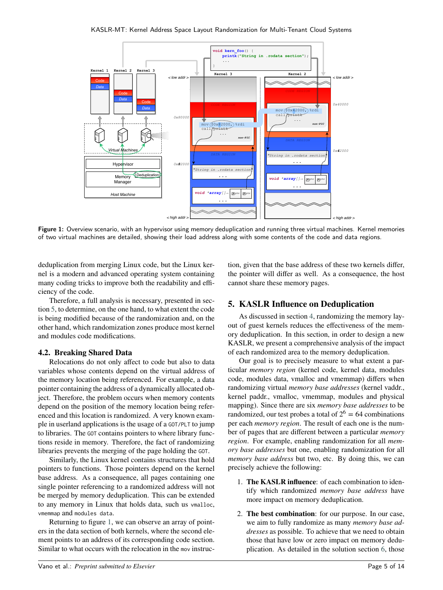<span id="page-5-1"></span>

Figure 1: Overview scenario, with an hypervisor using memory deduplication and running three virtual machines. Kernel memories of two virtual machines are detailed, showing their load address along with some contents of the code and data regions.

deduplication from merging Linux code, but the Linux kernel is a modern and advanced operating system containing many coding tricks to improve both the readability and efficiency of the code.

Therefore, a full analysis is necessary, presented in section [5,](#page-5-0) to determine, on the one hand, to what extent the code is being modified because of the randomization and, on the other hand, which randomization zones produce most kernel and modules code modifications.

### **4.2. Breaking Shared Data**

Relocations do not only affect to code but also to data variables whose contents depend on the virtual address of the memory location being referenced. For example, a data pointer containing the address of a dynamically allocated object. Therefore, the problem occurs when memory contents depend on the position of the memory location being referenced and this location is randomized. A very known example in userland applications is the usage of a GOT/PLT to jump to libraries. The GOT contains pointers to where library functions reside in memory. Therefore, the fact of randomizing libraries prevents the merging of the page holding the GOT.

Similarly, the Linux kernel contains structures that hold pointers to functions. Those pointers depend on the kernel base address. As a consequence, all pages containing one single pointer referencing to a randomized address will not be merged by memory deduplication. This can be extended to any memory in Linux that holds data, such us vmalloc, vmemmap and modules data.

Returning to figure [1,](#page-5-1) we can observe an array of pointers in the data section of both kernels, where the second element points to an address of its corresponding code section. Similar to what occurs with the relocation in the mov instruc-

tion, given that the base address of these two kernels differ, the pointer will differ as well. As a consequence, the host cannot share these memory pages.

# <span id="page-5-0"></span>**5. KASLR Influence on Deduplication**

As discussed in section [4,](#page-4-0) randomizing the memory layout of guest kernels reduces the effectiveness of the memory deduplication. In this section, in order to design a new KASLR, we present a comprehensive analysis of the impact of each randomized area to the memory deduplication.

Our goal is to precisely measure to what extent a particular *memory region* (kernel code, kernel data, modules code, modules data, vmalloc and vmemmap) differs when randomizing virtual *memory base addresses* (kernel vaddr., kernel paddr., vmalloc, vmemmap, modules and physical mapping). Since there are six *memory base addresses* to be randomized, our test probes a total of  $2^6 = 64$  combinations per each *memory region*. The result of each one is the number of pages that are different between a particular *memory region*. For example, enabling randomization for all *memory base addresses* but one, enabling randomization for all *memory base address* but two, etc. By doing this, we can precisely achieve the following:

- 1. **The KASLR influence**: of each combination to identify which randomized *memory base address* have more impact on memory deduplication.
- 2. **The best combination**: for our purpose. In our case, we aim to fully randomize as many *memory base addresses* as possible. To achieve that we need to obtain those that have low or zero impact on memory deduplication. As detailed in the solution section [6,](#page-10-0) those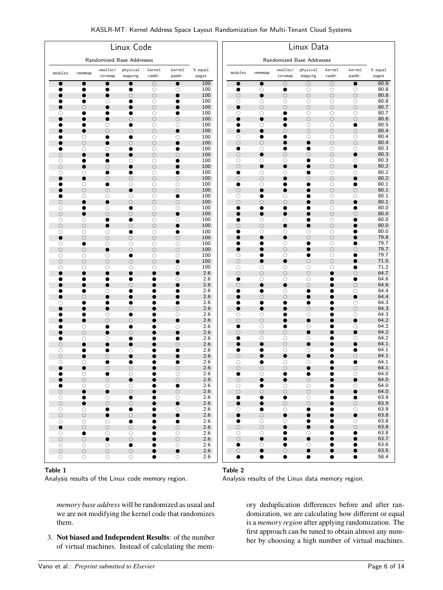<span id="page-6-0"></span>

| Randomized Base Addresses<br>Randomized Base Addresses<br>vmalloc/<br>physical<br>kernel<br>physical<br>kernel<br>kernel<br>% equal<br>vmalloc/<br>kernel<br>modules<br>modules<br>vmemmap<br>vmemmap<br>vaddr.<br>ioremap<br>mapping<br>paddr.<br>pages<br>ioremap<br>mapping<br>vaddr.<br>paddr.<br>pages<br>100<br>$\circ$<br>$\circ$<br>$\circ$<br>$\circ$<br>$\bullet$<br>0<br>100<br>O<br>$\circ$<br>О<br>$\circ$<br>О<br>$\bullet$<br>О<br>D<br>O<br>80.8<br>$\circ$<br>$\circ$<br>$\circ$<br>100<br>$\bullet$<br>$\circ$<br>$\circ$<br>$\bullet$<br>$\bullet$<br>$\circ$<br>$\circ$<br>0<br>$\bullet$<br>100<br>$\circ$<br>$\circ$<br>$\circ$<br>$\circ$<br>$\circ$<br>$\circ$<br>$\circ$<br>О<br>$\bullet$<br>0<br>100<br>$\circ$<br>$\circ$<br>$\circ$<br>$\circ$<br>$\circ$<br>$\circ$<br>$\circ$<br>$\bullet$<br>$\bullet$<br>$\bullet$<br>●<br>0<br>100<br>$\circ$<br>$\circ$<br>$\circ$<br>О<br>O<br>$\circ$<br>О<br>$\bullet$<br>$\bullet$<br>e<br>0<br>100<br>80.6<br>$\circ$<br>$\circ$<br>$\circ$<br>$\bullet$<br>$\bullet$<br>$\circ$<br>$\circ$<br>$\circ$<br>$\bullet$<br>$\bullet$<br>100<br>80.5<br>$\circ$<br>$\circ$<br>О<br>$\bullet$<br>O<br>$\circ$<br>О<br>$\bullet$<br>$\bullet$<br>$\bullet$<br>$\bullet$<br>$\bullet$<br>$\circ$<br>$\circ$<br>$\circ$<br>$\circ$<br>$\circ$<br>$\circ$<br>$\bullet$<br>100<br>$\bullet$<br>$\circ$<br>$\bullet$<br>0<br>100<br>О<br>$\circ$<br>О<br>О<br>О<br>$\circ$<br>О<br>$\bullet$<br>$\bullet$<br>0<br>100<br>$\circ$<br>$\circ$<br>$\circ$<br>$\circ$<br>$\circ$<br>$\circ$<br>$\bullet$<br>$\circ$<br>$\bullet$<br>$\bullet$<br>$\bullet$<br>80.3<br>100<br>О<br>$\circ$<br>$\circ$<br>$\bullet$<br>$\circ$<br>О<br>O<br>$\bullet$<br>$\bullet$<br>0<br>0<br>100<br>$\circ$<br>$\bullet$<br>$\circ$<br>$\circ$<br>$\bullet$<br>$\bullet$<br>$\circ$<br>$\circ$<br>$\circ$<br>$\circ$<br>●<br>$\bullet$<br>100<br>$\circ$<br>$\circ$<br>$\circ$<br>$\circ$<br>О<br>О<br>$\bullet$<br>О<br>$\circ$<br>$\bullet$<br>$\bullet$<br>$\circ$<br>$\circ$<br>$\circ$<br>$\circ$<br>100<br>$\circ$<br>$\bullet$<br>$\bullet$<br>$\bullet$<br>$\bullet$<br>0<br>$\bullet$<br>0<br>100<br>80.2<br>О<br>О<br>$\bullet$<br>$\circ$<br>$\circ$<br>О<br>О<br>O<br>$\bullet$<br>80.2<br>$\circ$<br>100<br>$\circ$<br>$\circ$<br>$\circ$<br>$\circ$<br>$\circ$<br>$\circ$<br>$\circ$<br>$\bullet$<br>$\bullet$<br>$\bullet$<br>100<br>$\bullet$<br>$\circ$<br>О<br>$\circ$<br>$\bullet$<br>О<br>$\circ$<br>О<br>0<br>$\bullet$<br>0<br>$\circ$<br>$\circ$<br>$\circ$<br>$\circ$<br>100<br>$\circ$<br>$\bullet$<br>$\circ$<br>$\circ$<br>$\bullet$<br>$\bullet$<br>●<br>●<br>$\circ$<br>$\circ$<br>$\circ$<br>100<br>$\circ$<br>$\circ$<br>$\circ$<br>$\circ$<br>$\circ$<br>$\bullet$<br>$\bullet$<br>$\bullet$<br>$\bullet$<br>$\bigcirc$<br>$\circ$<br>$\circ$<br>$\circ$<br>80.1<br>$\circ$<br>$\circ$<br>$\circ$<br>$\circ$<br>100<br>$\bullet$<br>$\bullet$<br>$\bullet$<br>0<br>100<br>80.0<br>$\circ$<br>О<br>$\circ$<br>$\circ$<br>О<br>$\bullet$<br>$\bullet$<br>0<br>e<br>100<br>$\circ$<br>$\circ$<br>$\circ$<br>$\circ$<br>$\bullet$<br>$\circ$<br>$\circ$<br>$\bullet$<br>$\bullet$<br>$\bullet$<br>$\bullet$<br>100<br>O<br>О<br>$\circ$<br>$\bullet$<br>$\circ$<br>O<br>О<br>$\bullet$<br>$\bullet$<br>О<br>0<br>0<br>80.C<br>$\circ$<br>$\circ$<br>$\circ$<br>$\circ$<br>$\bullet$<br>$\circ$<br>100<br>$\circ$<br>$\bullet$<br>$\circ$<br>$\bullet$<br>●<br>100<br>80.0<br>$\circ$<br>$\circ$<br>$\circ$<br>$\circ$<br>$\circ$<br>$\circ$<br>$\circ$<br>О<br>$\bullet$<br>$\bullet$<br>$\bullet$<br>100<br>$\circ$<br>79.8<br>$\bullet$<br>$\circ$<br>$\circ$<br>$\circ$<br>$\circ$<br>$\circ$<br>$\circ$<br>$\bullet$<br>$\bullet$<br>$\bullet$<br>100<br>$\circ$<br>О<br>$\circ$<br>$\circ$<br>$\circ$<br>$\circ$<br>О<br>$\bullet$<br>$\bullet$<br>0<br>0<br>100<br>$\circ$<br>$\circ$<br>$\bullet$<br>$\circ$<br>$\circ$<br>$\circ$<br>$\bullet$<br>O<br>$\bullet$<br>$\circ$<br>O<br>●<br>79.7<br>100<br>$\circ$<br>$\circ$<br>O<br>$\bullet$<br>О<br>O<br>$\circ$<br>$\circ$<br>О<br>●<br>$\bullet$<br>71.5<br>$\circ$<br>$\circ$<br>$\circ$<br>100<br>$\circ$<br>$\circ$<br>$\circ$<br>$\circ$<br>$\bullet$<br>$\bullet$<br>$\bullet$<br>$\circ$<br>$\circ$<br>$\circ$<br>$\circ$<br>$\circ$<br>$\circ$<br>100<br>$\circ$<br>$\circ$<br>$\circ$<br>О<br>O<br>$\circ$<br>0<br>$\bigcirc$<br>$\circ$<br>$\circ$<br>$\circ$<br>$\circ$<br>2.6<br>$\bullet$<br>$\bullet$<br>$\bullet$<br>$\bullet$<br>$\bullet$<br>0<br>$\bullet$<br>64.6<br>2.6<br>$\circ$<br>О<br>$\circ$<br>$\bullet$<br>$\bullet$<br>О<br>●<br>O<br>2.6<br>$\circ$<br>$\circ$<br>$\circ$<br>64.6<br>$\bullet$<br>$\circ$<br>$\bullet$<br>●<br>$\bullet$<br>O<br>0<br>●<br>64.4<br>2.6<br>$\bullet$<br>$\bullet$<br>O<br>O<br>$\circ$<br>$\bullet$<br>●<br>0<br>$\bullet$<br>$\circ$<br>2.6<br>$\bullet$<br>$\circ$<br>$\bullet$<br>$\bullet$<br>$\circ$<br>$\bullet$<br>$\bullet$<br>●<br>●<br>●<br>e<br>2.6<br>O<br>$\bullet$<br>$\bullet$<br>$\bullet$<br>O<br>$\bullet$<br>$\bullet$<br>$\bullet$<br>64.3<br>$\circ$<br>$\circ$<br>2.6<br>$\bullet$<br>$\bullet$<br>$\circ$<br>$\circ$<br>$\bullet$<br>$\bullet$<br>$\bullet$<br>64.3<br>2.6<br>$\circ$<br>$\circ$<br>O<br>$\circ$<br>О<br>О<br>۰<br>œ<br>$\circ$<br>$\circ$<br>$\circ$<br>2.6<br>$\circ$<br>$\bullet$<br>●<br>e<br>0<br>$\bullet$<br>0<br>e<br>2.6<br>$\circ$<br>O<br>$\bullet$<br>$\bullet$<br>$\circ$<br>O<br>$\bullet$<br>$\bullet$<br>$\bullet$<br>$\bullet$<br>О<br>$\circ$<br>2.6<br>$\circ$<br>$\circ$<br>$\bullet$<br>$\bullet$<br>$\circ$<br>$\bullet$<br>O<br>$\bullet$<br>$\bullet$<br>$\bullet$<br>64.2<br>2.6<br>$\circ$<br>О<br>$\circ$<br>O<br>О<br>$\circ$<br>$\bullet$<br>$\bullet$<br>$\bullet$<br>$\bullet$<br>$\bullet$<br>$\circ$<br>64.1<br>2.6<br>$\bullet$<br>$\bullet$<br>$\bullet$<br>●<br>$\circ$<br>$\bullet$<br>$\bullet$<br>$\bullet$<br>$\circ$<br>●<br>e<br>2.6<br>О<br>О<br>$\circ$<br>$\bullet$<br>О<br>$\bullet$<br>0<br>●<br>$\circ$<br>$\circ$<br>2.6<br>$\circ$<br>$\circ$<br>O<br>●<br>●<br>$\bullet$<br>O<br>O<br>e<br>64.1<br>$\circ$<br>2.6<br>0<br>O<br>O<br>O<br>O<br>$\bullet$<br>●<br>●<br>64.1<br>2.6<br>U<br>U<br>U<br>64.0<br>2.6<br>$\circ$<br>$\bigcirc$<br>$\circ$<br>$\bigcirc$<br>$\bigcirc$<br>$\bullet$<br>$\bullet$<br>$\bullet$<br>$\bullet$<br>$\bullet$<br>$\bullet$<br>$\bigcirc$<br>$\bigcirc$<br>2.6<br>$\bullet$<br>$\circ$<br>$\bullet$<br>$\bullet$<br>$\bigcirc$<br>$\bullet$<br>$\bullet$<br>$\circ$<br>$\bullet$<br>$\bullet$<br>2.6<br>$\bigcirc$<br>$\bullet$<br>$\bigcirc$<br>$\bigcirc$<br>$\bullet$<br>$\bigcirc$<br>$\bigcirc$<br>$\bigcirc$<br>$\bullet$<br>$\bullet$<br>$\circ$<br>$\bullet$<br>$\bigcirc$<br>$\bigcirc$<br>$\bigcirc$<br>64.0<br>$\bigcirc$<br>$\bigcirc$<br>2.6<br>$\bigcirc$<br>$\bullet$<br>$\bigcirc$<br>$\bullet$<br>$\bullet$<br>$\bullet$<br>$\bullet$<br>63.9<br>$\circ$<br>$\bullet$<br>2.6<br>$\bullet$<br>$\circ$<br>$\bullet$<br>0<br>$\bullet$<br>$\bullet$<br>О<br>$\bullet$<br>$\bullet$<br>$\bullet$<br>$\bigcirc$<br>$\bullet$<br>$\bullet$<br>$\bigcirc$<br>$\bigcirc$<br>$\bullet$<br>$\bullet$<br>2.6<br>$\bullet$<br>$\circ$<br>$\bigcirc$<br>$\bullet$<br>$\bigcirc$<br>$\bigcirc$<br>$\circ$<br>$\bigcirc$<br>2.6<br>$\bullet$<br>$\circ$<br>$\circ$<br>$\bullet$<br>$\bullet$<br>$\bullet$<br>$\circ$<br>$\bullet$<br>$\bullet$<br>$\bigcirc$<br>$\bigcirc$<br>$\bigcirc$<br>$\bullet$<br>2.6<br>$\bullet$<br>$\bullet$<br>$\bigcirc$<br>$\bullet$<br>$\bullet$<br>$\bullet$<br>$\bullet$<br>$\bullet$<br>2.6<br>63.8<br>$\circ$<br>$\bigcirc$<br>$\circ$<br>$\bullet$<br>$\circ$<br>$\circ$<br>$\bullet$<br>$\bigcirc$<br>$\bullet$<br>$\bullet$<br>$\bullet$<br>$\bullet$<br>63.8<br>$\bigcirc$<br>$\bigcirc$<br>$\bigcirc$<br>$\bigcirc$<br>2.6<br>$\bigcirc$<br>$\bigcirc$<br>$\bullet$<br>$\bullet$<br>$\bullet$<br>$\bigcirc$<br>$\bullet$<br>$\bullet$<br>$\circ$<br>$\bullet$<br>$\bigcirc$<br>$\circ$<br>2.6<br>$\circ$<br>$\circ$<br>$\bullet$<br>О<br>$\bullet$<br>0<br>$\bullet$<br>$\bullet$<br>$\bigcirc$<br>$\bigcirc$<br>$\bullet$<br>$\bullet$<br>$\bullet$<br>$\bullet$<br>$\bullet$<br>$\bigcirc$<br>$\bullet$<br>$\bigcirc$<br>$\bullet$<br>$\bigcirc$<br>2.6<br>$\circ$<br>$\bigcirc$<br>2.6<br>$\bullet$<br>$\circ$<br>$\circ$<br>$\circ$<br>$\bullet$<br>$\circ$<br>$\bullet$<br>$\bullet$<br>$\bullet$<br>$\bullet$<br>63.5<br>$\bigcirc$<br>$\bigcirc$<br>$\bigcirc$<br>$\bigcirc$<br>$\bigcirc$<br>$\bullet$<br>$\bigcirc$<br>$\bullet$<br>$\bullet$<br>2.6<br>$\bullet$<br>$\bullet$<br>$\bullet$ |         |            |            | Linux Code |           |            |     |           |           |           | Linux Data |           |           |         |
|----------------------------------------------------------------------------------------------------------------------------------------------------------------------------------------------------------------------------------------------------------------------------------------------------------------------------------------------------------------------------------------------------------------------------------------------------------------------------------------------------------------------------------------------------------------------------------------------------------------------------------------------------------------------------------------------------------------------------------------------------------------------------------------------------------------------------------------------------------------------------------------------------------------------------------------------------------------------------------------------------------------------------------------------------------------------------------------------------------------------------------------------------------------------------------------------------------------------------------------------------------------------------------------------------------------------------------------------------------------------------------------------------------------------------------------------------------------------------------------------------------------------------------------------------------------------------------------------------------------------------------------------------------------------------------------------------------------------------------------------------------------------------------------------------------------------------------------------------------------------------------------------------------------------------------------------------------------------------------------------------------------------------------------------------------------------------------------------------------------------------------------------------------------------------------------------------------------------------------------------------------------------------------------------------------------------------------------------------------------------------------------------------------------------------------------------------------------------------------------------------------------------------------------------------------------------------------------------------------------------------------------------------------------------------------------------------------------------------------------------------------------------------------------------------------------------------------------------------------------------------------------------------------------------------------------------------------------------------------------------------------------------------------------------------------------------------------------------------------------------------------------------------------------------------------------------------------------------------------------------------------------------------------------------------------------------------------------------------------------------------------------------------------------------------------------------------------------------------------------------------------------------------------------------------------------------------------------------------------------------------------------------------------------------------------------------------------------------------------------------------------------------------------------------------------------------------------------------------------------------------------------------------------------------------------------------------------------------------------------------------------------------------------------------------------------------------------------------------------------------------------------------------------------------------------------------------------------------------------------------------------------------------------------------------------------------------------------------------------------------------------------------------------------------------------------------------------------------------------------------------------------------------------------------------------------------------------------------------------------------------------------------------------------------------------------------------------------------------------------------------------------------------------------------------------------------------------------------------------------------------------------------------------------------------------------------------------------------------------------------------------------------------------------------------------------------------------------------------------------------------------------------------------------------------------------------------------------------------------------------------------------------------------------------------------------------------------------------------------------------------------------------------------------------------------------------------------------------------------------------------------------------------------------------------------------------------------------------------------------------------------------------------------------------------------------------------------------------------------------------------------------------------------------------------------------------------------------------------------------------------------------------------------------------------------------------------------------------------------------------------------------------------------------------------------------------------------------------------------------------------------------------------------------------------------------------------------------------------------------------------------------------------------------------------------------------------------------------------------------------------------------------------------------------------------------------------------------------------------------------------------------------------------------------------------------------------------------------------------------------------------------------------------------------------------------------------------------------------------------------------------------------------------------------------------------------------------------------------------------------------------------------------------------------------------------------------------------------------------------------------------------------------------------------------------------------------------------------------------------------------------------------------------------------------------------------------------------------------------------------------------------------------------------------------------------------------------------------------------------------------------------------------------------------------------------------------------------------------------------------------------------------------------------------------------------------------------------------------------------------------------------------------------------------------------------------------------------------------------------------------------------------------------------------------------------------------------------------------------------------------------------------------------------------------------------------------------------------------------------------------------------------------------------------------------------------------------------------------------------------------------------------------------------------------------------------------------------------------------------------------------------------------------------------------------------------------------------------------------------------------------------------------------------------------------------------------------------------------------------------------------------------------------------------------------------------|---------|------------|------------|------------|-----------|------------|-----|-----------|-----------|-----------|------------|-----------|-----------|---------|
|                                                                                                                                                                                                                                                                                                                                                                                                                                                                                                                                                                                                                                                                                                                                                                                                                                                                                                                                                                                                                                                                                                                                                                                                                                                                                                                                                                                                                                                                                                                                                                                                                                                                                                                                                                                                                                                                                                                                                                                                                                                                                                                                                                                                                                                                                                                                                                                                                                                                                                                                                                                                                                                                                                                                                                                                                                                                                                                                                                                                                                                                                                                                                                                                                                                                                                                                                                                                                                                                                                                                                                                                                                                                                                                                                                                                                                                                                                                                                                                                                                                                                                                                                                                                                                                                                                                                                                                                                                                                                                                                                                                                                                                                                                                                                                                                                                                                                                                                                                                                                                                                                                                                                                                                                                                                                                                                                                                                                                                                                                                                                                                                                                                                                                                                                                                                                                                                                                                                                                                                                                                                                                                                                                                                                                                                                                                                                                                                                                                                                                                                                                                                                                                                                                                                                                                                                                                                                                                                                                                                                                                                                                                                                                                                                                                                                                                                                                                                                                                                                                                                                                                                                                                                                                                                                                                                                                                                                                                                                                                                                                                                                                                                                                                                                                                                                                                                                                                                                                                                                                                                                                      |         |            |            |            |           |            |     |           |           |           |            |           |           |         |
|                                                                                                                                                                                                                                                                                                                                                                                                                                                                                                                                                                                                                                                                                                                                                                                                                                                                                                                                                                                                                                                                                                                                                                                                                                                                                                                                                                                                                                                                                                                                                                                                                                                                                                                                                                                                                                                                                                                                                                                                                                                                                                                                                                                                                                                                                                                                                                                                                                                                                                                                                                                                                                                                                                                                                                                                                                                                                                                                                                                                                                                                                                                                                                                                                                                                                                                                                                                                                                                                                                                                                                                                                                                                                                                                                                                                                                                                                                                                                                                                                                                                                                                                                                                                                                                                                                                                                                                                                                                                                                                                                                                                                                                                                                                                                                                                                                                                                                                                                                                                                                                                                                                                                                                                                                                                                                                                                                                                                                                                                                                                                                                                                                                                                                                                                                                                                                                                                                                                                                                                                                                                                                                                                                                                                                                                                                                                                                                                                                                                                                                                                                                                                                                                                                                                                                                                                                                                                                                                                                                                                                                                                                                                                                                                                                                                                                                                                                                                                                                                                                                                                                                                                                                                                                                                                                                                                                                                                                                                                                                                                                                                                                                                                                                                                                                                                                                                                                                                                                                                                                                                                                      |         |            |            |            |           |            |     |           |           |           |            |           |           | % equal |
|                                                                                                                                                                                                                                                                                                                                                                                                                                                                                                                                                                                                                                                                                                                                                                                                                                                                                                                                                                                                                                                                                                                                                                                                                                                                                                                                                                                                                                                                                                                                                                                                                                                                                                                                                                                                                                                                                                                                                                                                                                                                                                                                                                                                                                                                                                                                                                                                                                                                                                                                                                                                                                                                                                                                                                                                                                                                                                                                                                                                                                                                                                                                                                                                                                                                                                                                                                                                                                                                                                                                                                                                                                                                                                                                                                                                                                                                                                                                                                                                                                                                                                                                                                                                                                                                                                                                                                                                                                                                                                                                                                                                                                                                                                                                                                                                                                                                                                                                                                                                                                                                                                                                                                                                                                                                                                                                                                                                                                                                                                                                                                                                                                                                                                                                                                                                                                                                                                                                                                                                                                                                                                                                                                                                                                                                                                                                                                                                                                                                                                                                                                                                                                                                                                                                                                                                                                                                                                                                                                                                                                                                                                                                                                                                                                                                                                                                                                                                                                                                                                                                                                                                                                                                                                                                                                                                                                                                                                                                                                                                                                                                                                                                                                                                                                                                                                                                                                                                                                                                                                                                                                      |         |            |            |            |           |            |     |           |           |           |            |           |           | 80.9    |
|                                                                                                                                                                                                                                                                                                                                                                                                                                                                                                                                                                                                                                                                                                                                                                                                                                                                                                                                                                                                                                                                                                                                                                                                                                                                                                                                                                                                                                                                                                                                                                                                                                                                                                                                                                                                                                                                                                                                                                                                                                                                                                                                                                                                                                                                                                                                                                                                                                                                                                                                                                                                                                                                                                                                                                                                                                                                                                                                                                                                                                                                                                                                                                                                                                                                                                                                                                                                                                                                                                                                                                                                                                                                                                                                                                                                                                                                                                                                                                                                                                                                                                                                                                                                                                                                                                                                                                                                                                                                                                                                                                                                                                                                                                                                                                                                                                                                                                                                                                                                                                                                                                                                                                                                                                                                                                                                                                                                                                                                                                                                                                                                                                                                                                                                                                                                                                                                                                                                                                                                                                                                                                                                                                                                                                                                                                                                                                                                                                                                                                                                                                                                                                                                                                                                                                                                                                                                                                                                                                                                                                                                                                                                                                                                                                                                                                                                                                                                                                                                                                                                                                                                                                                                                                                                                                                                                                                                                                                                                                                                                                                                                                                                                                                                                                                                                                                                                                                                                                                                                                                                                                      |         |            |            |            |           |            |     |           |           |           |            |           |           | 80.8    |
|                                                                                                                                                                                                                                                                                                                                                                                                                                                                                                                                                                                                                                                                                                                                                                                                                                                                                                                                                                                                                                                                                                                                                                                                                                                                                                                                                                                                                                                                                                                                                                                                                                                                                                                                                                                                                                                                                                                                                                                                                                                                                                                                                                                                                                                                                                                                                                                                                                                                                                                                                                                                                                                                                                                                                                                                                                                                                                                                                                                                                                                                                                                                                                                                                                                                                                                                                                                                                                                                                                                                                                                                                                                                                                                                                                                                                                                                                                                                                                                                                                                                                                                                                                                                                                                                                                                                                                                                                                                                                                                                                                                                                                                                                                                                                                                                                                                                                                                                                                                                                                                                                                                                                                                                                                                                                                                                                                                                                                                                                                                                                                                                                                                                                                                                                                                                                                                                                                                                                                                                                                                                                                                                                                                                                                                                                                                                                                                                                                                                                                                                                                                                                                                                                                                                                                                                                                                                                                                                                                                                                                                                                                                                                                                                                                                                                                                                                                                                                                                                                                                                                                                                                                                                                                                                                                                                                                                                                                                                                                                                                                                                                                                                                                                                                                                                                                                                                                                                                                                                                                                                                                      |         |            |            |            |           |            |     |           |           |           |            |           |           | 80.8    |
|                                                                                                                                                                                                                                                                                                                                                                                                                                                                                                                                                                                                                                                                                                                                                                                                                                                                                                                                                                                                                                                                                                                                                                                                                                                                                                                                                                                                                                                                                                                                                                                                                                                                                                                                                                                                                                                                                                                                                                                                                                                                                                                                                                                                                                                                                                                                                                                                                                                                                                                                                                                                                                                                                                                                                                                                                                                                                                                                                                                                                                                                                                                                                                                                                                                                                                                                                                                                                                                                                                                                                                                                                                                                                                                                                                                                                                                                                                                                                                                                                                                                                                                                                                                                                                                                                                                                                                                                                                                                                                                                                                                                                                                                                                                                                                                                                                                                                                                                                                                                                                                                                                                                                                                                                                                                                                                                                                                                                                                                                                                                                                                                                                                                                                                                                                                                                                                                                                                                                                                                                                                                                                                                                                                                                                                                                                                                                                                                                                                                                                                                                                                                                                                                                                                                                                                                                                                                                                                                                                                                                                                                                                                                                                                                                                                                                                                                                                                                                                                                                                                                                                                                                                                                                                                                                                                                                                                                                                                                                                                                                                                                                                                                                                                                                                                                                                                                                                                                                                                                                                                                                                      |         |            |            |            |           |            |     |           |           |           |            |           |           | 80.7    |
|                                                                                                                                                                                                                                                                                                                                                                                                                                                                                                                                                                                                                                                                                                                                                                                                                                                                                                                                                                                                                                                                                                                                                                                                                                                                                                                                                                                                                                                                                                                                                                                                                                                                                                                                                                                                                                                                                                                                                                                                                                                                                                                                                                                                                                                                                                                                                                                                                                                                                                                                                                                                                                                                                                                                                                                                                                                                                                                                                                                                                                                                                                                                                                                                                                                                                                                                                                                                                                                                                                                                                                                                                                                                                                                                                                                                                                                                                                                                                                                                                                                                                                                                                                                                                                                                                                                                                                                                                                                                                                                                                                                                                                                                                                                                                                                                                                                                                                                                                                                                                                                                                                                                                                                                                                                                                                                                                                                                                                                                                                                                                                                                                                                                                                                                                                                                                                                                                                                                                                                                                                                                                                                                                                                                                                                                                                                                                                                                                                                                                                                                                                                                                                                                                                                                                                                                                                                                                                                                                                                                                                                                                                                                                                                                                                                                                                                                                                                                                                                                                                                                                                                                                                                                                                                                                                                                                                                                                                                                                                                                                                                                                                                                                                                                                                                                                                                                                                                                                                                                                                                                                                      |         |            |            |            |           |            |     |           |           |           |            |           |           | 80.7    |
|                                                                                                                                                                                                                                                                                                                                                                                                                                                                                                                                                                                                                                                                                                                                                                                                                                                                                                                                                                                                                                                                                                                                                                                                                                                                                                                                                                                                                                                                                                                                                                                                                                                                                                                                                                                                                                                                                                                                                                                                                                                                                                                                                                                                                                                                                                                                                                                                                                                                                                                                                                                                                                                                                                                                                                                                                                                                                                                                                                                                                                                                                                                                                                                                                                                                                                                                                                                                                                                                                                                                                                                                                                                                                                                                                                                                                                                                                                                                                                                                                                                                                                                                                                                                                                                                                                                                                                                                                                                                                                                                                                                                                                                                                                                                                                                                                                                                                                                                                                                                                                                                                                                                                                                                                                                                                                                                                                                                                                                                                                                                                                                                                                                                                                                                                                                                                                                                                                                                                                                                                                                                                                                                                                                                                                                                                                                                                                                                                                                                                                                                                                                                                                                                                                                                                                                                                                                                                                                                                                                                                                                                                                                                                                                                                                                                                                                                                                                                                                                                                                                                                                                                                                                                                                                                                                                                                                                                                                                                                                                                                                                                                                                                                                                                                                                                                                                                                                                                                                                                                                                                                                      |         |            |            |            |           |            |     |           |           |           |            |           |           |         |
|                                                                                                                                                                                                                                                                                                                                                                                                                                                                                                                                                                                                                                                                                                                                                                                                                                                                                                                                                                                                                                                                                                                                                                                                                                                                                                                                                                                                                                                                                                                                                                                                                                                                                                                                                                                                                                                                                                                                                                                                                                                                                                                                                                                                                                                                                                                                                                                                                                                                                                                                                                                                                                                                                                                                                                                                                                                                                                                                                                                                                                                                                                                                                                                                                                                                                                                                                                                                                                                                                                                                                                                                                                                                                                                                                                                                                                                                                                                                                                                                                                                                                                                                                                                                                                                                                                                                                                                                                                                                                                                                                                                                                                                                                                                                                                                                                                                                                                                                                                                                                                                                                                                                                                                                                                                                                                                                                                                                                                                                                                                                                                                                                                                                                                                                                                                                                                                                                                                                                                                                                                                                                                                                                                                                                                                                                                                                                                                                                                                                                                                                                                                                                                                                                                                                                                                                                                                                                                                                                                                                                                                                                                                                                                                                                                                                                                                                                                                                                                                                                                                                                                                                                                                                                                                                                                                                                                                                                                                                                                                                                                                                                                                                                                                                                                                                                                                                                                                                                                                                                                                                                                      |         |            |            |            |           |            |     |           |           |           |            |           |           | 80.4    |
|                                                                                                                                                                                                                                                                                                                                                                                                                                                                                                                                                                                                                                                                                                                                                                                                                                                                                                                                                                                                                                                                                                                                                                                                                                                                                                                                                                                                                                                                                                                                                                                                                                                                                                                                                                                                                                                                                                                                                                                                                                                                                                                                                                                                                                                                                                                                                                                                                                                                                                                                                                                                                                                                                                                                                                                                                                                                                                                                                                                                                                                                                                                                                                                                                                                                                                                                                                                                                                                                                                                                                                                                                                                                                                                                                                                                                                                                                                                                                                                                                                                                                                                                                                                                                                                                                                                                                                                                                                                                                                                                                                                                                                                                                                                                                                                                                                                                                                                                                                                                                                                                                                                                                                                                                                                                                                                                                                                                                                                                                                                                                                                                                                                                                                                                                                                                                                                                                                                                                                                                                                                                                                                                                                                                                                                                                                                                                                                                                                                                                                                                                                                                                                                                                                                                                                                                                                                                                                                                                                                                                                                                                                                                                                                                                                                                                                                                                                                                                                                                                                                                                                                                                                                                                                                                                                                                                                                                                                                                                                                                                                                                                                                                                                                                                                                                                                                                                                                                                                                                                                                                                                      |         |            |            |            |           |            |     |           |           |           |            |           |           | 80.4    |
|                                                                                                                                                                                                                                                                                                                                                                                                                                                                                                                                                                                                                                                                                                                                                                                                                                                                                                                                                                                                                                                                                                                                                                                                                                                                                                                                                                                                                                                                                                                                                                                                                                                                                                                                                                                                                                                                                                                                                                                                                                                                                                                                                                                                                                                                                                                                                                                                                                                                                                                                                                                                                                                                                                                                                                                                                                                                                                                                                                                                                                                                                                                                                                                                                                                                                                                                                                                                                                                                                                                                                                                                                                                                                                                                                                                                                                                                                                                                                                                                                                                                                                                                                                                                                                                                                                                                                                                                                                                                                                                                                                                                                                                                                                                                                                                                                                                                                                                                                                                                                                                                                                                                                                                                                                                                                                                                                                                                                                                                                                                                                                                                                                                                                                                                                                                                                                                                                                                                                                                                                                                                                                                                                                                                                                                                                                                                                                                                                                                                                                                                                                                                                                                                                                                                                                                                                                                                                                                                                                                                                                                                                                                                                                                                                                                                                                                                                                                                                                                                                                                                                                                                                                                                                                                                                                                                                                                                                                                                                                                                                                                                                                                                                                                                                                                                                                                                                                                                                                                                                                                                                                      |         |            |            |            |           |            |     |           |           |           |            |           |           | 80.4    |
|                                                                                                                                                                                                                                                                                                                                                                                                                                                                                                                                                                                                                                                                                                                                                                                                                                                                                                                                                                                                                                                                                                                                                                                                                                                                                                                                                                                                                                                                                                                                                                                                                                                                                                                                                                                                                                                                                                                                                                                                                                                                                                                                                                                                                                                                                                                                                                                                                                                                                                                                                                                                                                                                                                                                                                                                                                                                                                                                                                                                                                                                                                                                                                                                                                                                                                                                                                                                                                                                                                                                                                                                                                                                                                                                                                                                                                                                                                                                                                                                                                                                                                                                                                                                                                                                                                                                                                                                                                                                                                                                                                                                                                                                                                                                                                                                                                                                                                                                                                                                                                                                                                                                                                                                                                                                                                                                                                                                                                                                                                                                                                                                                                                                                                                                                                                                                                                                                                                                                                                                                                                                                                                                                                                                                                                                                                                                                                                                                                                                                                                                                                                                                                                                                                                                                                                                                                                                                                                                                                                                                                                                                                                                                                                                                                                                                                                                                                                                                                                                                                                                                                                                                                                                                                                                                                                                                                                                                                                                                                                                                                                                                                                                                                                                                                                                                                                                                                                                                                                                                                                                                                      |         |            |            |            |           |            |     |           |           |           |            |           |           | 80.3    |
|                                                                                                                                                                                                                                                                                                                                                                                                                                                                                                                                                                                                                                                                                                                                                                                                                                                                                                                                                                                                                                                                                                                                                                                                                                                                                                                                                                                                                                                                                                                                                                                                                                                                                                                                                                                                                                                                                                                                                                                                                                                                                                                                                                                                                                                                                                                                                                                                                                                                                                                                                                                                                                                                                                                                                                                                                                                                                                                                                                                                                                                                                                                                                                                                                                                                                                                                                                                                                                                                                                                                                                                                                                                                                                                                                                                                                                                                                                                                                                                                                                                                                                                                                                                                                                                                                                                                                                                                                                                                                                                                                                                                                                                                                                                                                                                                                                                                                                                                                                                                                                                                                                                                                                                                                                                                                                                                                                                                                                                                                                                                                                                                                                                                                                                                                                                                                                                                                                                                                                                                                                                                                                                                                                                                                                                                                                                                                                                                                                                                                                                                                                                                                                                                                                                                                                                                                                                                                                                                                                                                                                                                                                                                                                                                                                                                                                                                                                                                                                                                                                                                                                                                                                                                                                                                                                                                                                                                                                                                                                                                                                                                                                                                                                                                                                                                                                                                                                                                                                                                                                                                                                      |         |            |            |            |           |            |     |           |           |           |            |           |           | 80.3    |
|                                                                                                                                                                                                                                                                                                                                                                                                                                                                                                                                                                                                                                                                                                                                                                                                                                                                                                                                                                                                                                                                                                                                                                                                                                                                                                                                                                                                                                                                                                                                                                                                                                                                                                                                                                                                                                                                                                                                                                                                                                                                                                                                                                                                                                                                                                                                                                                                                                                                                                                                                                                                                                                                                                                                                                                                                                                                                                                                                                                                                                                                                                                                                                                                                                                                                                                                                                                                                                                                                                                                                                                                                                                                                                                                                                                                                                                                                                                                                                                                                                                                                                                                                                                                                                                                                                                                                                                                                                                                                                                                                                                                                                                                                                                                                                                                                                                                                                                                                                                                                                                                                                                                                                                                                                                                                                                                                                                                                                                                                                                                                                                                                                                                                                                                                                                                                                                                                                                                                                                                                                                                                                                                                                                                                                                                                                                                                                                                                                                                                                                                                                                                                                                                                                                                                                                                                                                                                                                                                                                                                                                                                                                                                                                                                                                                                                                                                                                                                                                                                                                                                                                                                                                                                                                                                                                                                                                                                                                                                                                                                                                                                                                                                                                                                                                                                                                                                                                                                                                                                                                                                                      |         |            |            |            |           |            |     |           |           |           |            |           |           | 80.2    |
|                                                                                                                                                                                                                                                                                                                                                                                                                                                                                                                                                                                                                                                                                                                                                                                                                                                                                                                                                                                                                                                                                                                                                                                                                                                                                                                                                                                                                                                                                                                                                                                                                                                                                                                                                                                                                                                                                                                                                                                                                                                                                                                                                                                                                                                                                                                                                                                                                                                                                                                                                                                                                                                                                                                                                                                                                                                                                                                                                                                                                                                                                                                                                                                                                                                                                                                                                                                                                                                                                                                                                                                                                                                                                                                                                                                                                                                                                                                                                                                                                                                                                                                                                                                                                                                                                                                                                                                                                                                                                                                                                                                                                                                                                                                                                                                                                                                                                                                                                                                                                                                                                                                                                                                                                                                                                                                                                                                                                                                                                                                                                                                                                                                                                                                                                                                                                                                                                                                                                                                                                                                                                                                                                                                                                                                                                                                                                                                                                                                                                                                                                                                                                                                                                                                                                                                                                                                                                                                                                                                                                                                                                                                                                                                                                                                                                                                                                                                                                                                                                                                                                                                                                                                                                                                                                                                                                                                                                                                                                                                                                                                                                                                                                                                                                                                                                                                                                                                                                                                                                                                                                                      |         |            |            |            |           |            |     |           |           |           |            |           |           |         |
|                                                                                                                                                                                                                                                                                                                                                                                                                                                                                                                                                                                                                                                                                                                                                                                                                                                                                                                                                                                                                                                                                                                                                                                                                                                                                                                                                                                                                                                                                                                                                                                                                                                                                                                                                                                                                                                                                                                                                                                                                                                                                                                                                                                                                                                                                                                                                                                                                                                                                                                                                                                                                                                                                                                                                                                                                                                                                                                                                                                                                                                                                                                                                                                                                                                                                                                                                                                                                                                                                                                                                                                                                                                                                                                                                                                                                                                                                                                                                                                                                                                                                                                                                                                                                                                                                                                                                                                                                                                                                                                                                                                                                                                                                                                                                                                                                                                                                                                                                                                                                                                                                                                                                                                                                                                                                                                                                                                                                                                                                                                                                                                                                                                                                                                                                                                                                                                                                                                                                                                                                                                                                                                                                                                                                                                                                                                                                                                                                                                                                                                                                                                                                                                                                                                                                                                                                                                                                                                                                                                                                                                                                                                                                                                                                                                                                                                                                                                                                                                                                                                                                                                                                                                                                                                                                                                                                                                                                                                                                                                                                                                                                                                                                                                                                                                                                                                                                                                                                                                                                                                                                                      |         |            |            |            |           |            |     |           |           |           |            |           |           | 80.1    |
|                                                                                                                                                                                                                                                                                                                                                                                                                                                                                                                                                                                                                                                                                                                                                                                                                                                                                                                                                                                                                                                                                                                                                                                                                                                                                                                                                                                                                                                                                                                                                                                                                                                                                                                                                                                                                                                                                                                                                                                                                                                                                                                                                                                                                                                                                                                                                                                                                                                                                                                                                                                                                                                                                                                                                                                                                                                                                                                                                                                                                                                                                                                                                                                                                                                                                                                                                                                                                                                                                                                                                                                                                                                                                                                                                                                                                                                                                                                                                                                                                                                                                                                                                                                                                                                                                                                                                                                                                                                                                                                                                                                                                                                                                                                                                                                                                                                                                                                                                                                                                                                                                                                                                                                                                                                                                                                                                                                                                                                                                                                                                                                                                                                                                                                                                                                                                                                                                                                                                                                                                                                                                                                                                                                                                                                                                                                                                                                                                                                                                                                                                                                                                                                                                                                                                                                                                                                                                                                                                                                                                                                                                                                                                                                                                                                                                                                                                                                                                                                                                                                                                                                                                                                                                                                                                                                                                                                                                                                                                                                                                                                                                                                                                                                                                                                                                                                                                                                                                                                                                                                                                                      |         |            |            |            |           |            |     |           |           |           |            |           |           | 80.1    |
|                                                                                                                                                                                                                                                                                                                                                                                                                                                                                                                                                                                                                                                                                                                                                                                                                                                                                                                                                                                                                                                                                                                                                                                                                                                                                                                                                                                                                                                                                                                                                                                                                                                                                                                                                                                                                                                                                                                                                                                                                                                                                                                                                                                                                                                                                                                                                                                                                                                                                                                                                                                                                                                                                                                                                                                                                                                                                                                                                                                                                                                                                                                                                                                                                                                                                                                                                                                                                                                                                                                                                                                                                                                                                                                                                                                                                                                                                                                                                                                                                                                                                                                                                                                                                                                                                                                                                                                                                                                                                                                                                                                                                                                                                                                                                                                                                                                                                                                                                                                                                                                                                                                                                                                                                                                                                                                                                                                                                                                                                                                                                                                                                                                                                                                                                                                                                                                                                                                                                                                                                                                                                                                                                                                                                                                                                                                                                                                                                                                                                                                                                                                                                                                                                                                                                                                                                                                                                                                                                                                                                                                                                                                                                                                                                                                                                                                                                                                                                                                                                                                                                                                                                                                                                                                                                                                                                                                                                                                                                                                                                                                                                                                                                                                                                                                                                                                                                                                                                                                                                                                                                                      |         |            |            |            |           |            |     |           |           |           |            |           |           | 80.1    |
|                                                                                                                                                                                                                                                                                                                                                                                                                                                                                                                                                                                                                                                                                                                                                                                                                                                                                                                                                                                                                                                                                                                                                                                                                                                                                                                                                                                                                                                                                                                                                                                                                                                                                                                                                                                                                                                                                                                                                                                                                                                                                                                                                                                                                                                                                                                                                                                                                                                                                                                                                                                                                                                                                                                                                                                                                                                                                                                                                                                                                                                                                                                                                                                                                                                                                                                                                                                                                                                                                                                                                                                                                                                                                                                                                                                                                                                                                                                                                                                                                                                                                                                                                                                                                                                                                                                                                                                                                                                                                                                                                                                                                                                                                                                                                                                                                                                                                                                                                                                                                                                                                                                                                                                                                                                                                                                                                                                                                                                                                                                                                                                                                                                                                                                                                                                                                                                                                                                                                                                                                                                                                                                                                                                                                                                                                                                                                                                                                                                                                                                                                                                                                                                                                                                                                                                                                                                                                                                                                                                                                                                                                                                                                                                                                                                                                                                                                                                                                                                                                                                                                                                                                                                                                                                                                                                                                                                                                                                                                                                                                                                                                                                                                                                                                                                                                                                                                                                                                                                                                                                                                                      |         |            |            |            |           |            |     |           |           |           |            |           |           |         |
|                                                                                                                                                                                                                                                                                                                                                                                                                                                                                                                                                                                                                                                                                                                                                                                                                                                                                                                                                                                                                                                                                                                                                                                                                                                                                                                                                                                                                                                                                                                                                                                                                                                                                                                                                                                                                                                                                                                                                                                                                                                                                                                                                                                                                                                                                                                                                                                                                                                                                                                                                                                                                                                                                                                                                                                                                                                                                                                                                                                                                                                                                                                                                                                                                                                                                                                                                                                                                                                                                                                                                                                                                                                                                                                                                                                                                                                                                                                                                                                                                                                                                                                                                                                                                                                                                                                                                                                                                                                                                                                                                                                                                                                                                                                                                                                                                                                                                                                                                                                                                                                                                                                                                                                                                                                                                                                                                                                                                                                                                                                                                                                                                                                                                                                                                                                                                                                                                                                                                                                                                                                                                                                                                                                                                                                                                                                                                                                                                                                                                                                                                                                                                                                                                                                                                                                                                                                                                                                                                                                                                                                                                                                                                                                                                                                                                                                                                                                                                                                                                                                                                                                                                                                                                                                                                                                                                                                                                                                                                                                                                                                                                                                                                                                                                                                                                                                                                                                                                                                                                                                                                                      |         |            |            |            |           |            |     |           |           |           |            |           |           | 80.0    |
|                                                                                                                                                                                                                                                                                                                                                                                                                                                                                                                                                                                                                                                                                                                                                                                                                                                                                                                                                                                                                                                                                                                                                                                                                                                                                                                                                                                                                                                                                                                                                                                                                                                                                                                                                                                                                                                                                                                                                                                                                                                                                                                                                                                                                                                                                                                                                                                                                                                                                                                                                                                                                                                                                                                                                                                                                                                                                                                                                                                                                                                                                                                                                                                                                                                                                                                                                                                                                                                                                                                                                                                                                                                                                                                                                                                                                                                                                                                                                                                                                                                                                                                                                                                                                                                                                                                                                                                                                                                                                                                                                                                                                                                                                                                                                                                                                                                                                                                                                                                                                                                                                                                                                                                                                                                                                                                                                                                                                                                                                                                                                                                                                                                                                                                                                                                                                                                                                                                                                                                                                                                                                                                                                                                                                                                                                                                                                                                                                                                                                                                                                                                                                                                                                                                                                                                                                                                                                                                                                                                                                                                                                                                                                                                                                                                                                                                                                                                                                                                                                                                                                                                                                                                                                                                                                                                                                                                                                                                                                                                                                                                                                                                                                                                                                                                                                                                                                                                                                                                                                                                                                                      |         |            |            |            |           |            |     |           |           |           |            |           |           | 80.0    |
|                                                                                                                                                                                                                                                                                                                                                                                                                                                                                                                                                                                                                                                                                                                                                                                                                                                                                                                                                                                                                                                                                                                                                                                                                                                                                                                                                                                                                                                                                                                                                                                                                                                                                                                                                                                                                                                                                                                                                                                                                                                                                                                                                                                                                                                                                                                                                                                                                                                                                                                                                                                                                                                                                                                                                                                                                                                                                                                                                                                                                                                                                                                                                                                                                                                                                                                                                                                                                                                                                                                                                                                                                                                                                                                                                                                                                                                                                                                                                                                                                                                                                                                                                                                                                                                                                                                                                                                                                                                                                                                                                                                                                                                                                                                                                                                                                                                                                                                                                                                                                                                                                                                                                                                                                                                                                                                                                                                                                                                                                                                                                                                                                                                                                                                                                                                                                                                                                                                                                                                                                                                                                                                                                                                                                                                                                                                                                                                                                                                                                                                                                                                                                                                                                                                                                                                                                                                                                                                                                                                                                                                                                                                                                                                                                                                                                                                                                                                                                                                                                                                                                                                                                                                                                                                                                                                                                                                                                                                                                                                                                                                                                                                                                                                                                                                                                                                                                                                                                                                                                                                                                                      |         |            |            |            |           |            |     |           |           |           |            |           |           |         |
|                                                                                                                                                                                                                                                                                                                                                                                                                                                                                                                                                                                                                                                                                                                                                                                                                                                                                                                                                                                                                                                                                                                                                                                                                                                                                                                                                                                                                                                                                                                                                                                                                                                                                                                                                                                                                                                                                                                                                                                                                                                                                                                                                                                                                                                                                                                                                                                                                                                                                                                                                                                                                                                                                                                                                                                                                                                                                                                                                                                                                                                                                                                                                                                                                                                                                                                                                                                                                                                                                                                                                                                                                                                                                                                                                                                                                                                                                                                                                                                                                                                                                                                                                                                                                                                                                                                                                                                                                                                                                                                                                                                                                                                                                                                                                                                                                                                                                                                                                                                                                                                                                                                                                                                                                                                                                                                                                                                                                                                                                                                                                                                                                                                                                                                                                                                                                                                                                                                                                                                                                                                                                                                                                                                                                                                                                                                                                                                                                                                                                                                                                                                                                                                                                                                                                                                                                                                                                                                                                                                                                                                                                                                                                                                                                                                                                                                                                                                                                                                                                                                                                                                                                                                                                                                                                                                                                                                                                                                                                                                                                                                                                                                                                                                                                                                                                                                                                                                                                                                                                                                                                                      |         |            |            |            |           |            |     |           |           |           |            |           |           |         |
|                                                                                                                                                                                                                                                                                                                                                                                                                                                                                                                                                                                                                                                                                                                                                                                                                                                                                                                                                                                                                                                                                                                                                                                                                                                                                                                                                                                                                                                                                                                                                                                                                                                                                                                                                                                                                                                                                                                                                                                                                                                                                                                                                                                                                                                                                                                                                                                                                                                                                                                                                                                                                                                                                                                                                                                                                                                                                                                                                                                                                                                                                                                                                                                                                                                                                                                                                                                                                                                                                                                                                                                                                                                                                                                                                                                                                                                                                                                                                                                                                                                                                                                                                                                                                                                                                                                                                                                                                                                                                                                                                                                                                                                                                                                                                                                                                                                                                                                                                                                                                                                                                                                                                                                                                                                                                                                                                                                                                                                                                                                                                                                                                                                                                                                                                                                                                                                                                                                                                                                                                                                                                                                                                                                                                                                                                                                                                                                                                                                                                                                                                                                                                                                                                                                                                                                                                                                                                                                                                                                                                                                                                                                                                                                                                                                                                                                                                                                                                                                                                                                                                                                                                                                                                                                                                                                                                                                                                                                                                                                                                                                                                                                                                                                                                                                                                                                                                                                                                                                                                                                                                                      |         |            |            |            |           |            |     |           |           |           |            |           |           | 79.7    |
|                                                                                                                                                                                                                                                                                                                                                                                                                                                                                                                                                                                                                                                                                                                                                                                                                                                                                                                                                                                                                                                                                                                                                                                                                                                                                                                                                                                                                                                                                                                                                                                                                                                                                                                                                                                                                                                                                                                                                                                                                                                                                                                                                                                                                                                                                                                                                                                                                                                                                                                                                                                                                                                                                                                                                                                                                                                                                                                                                                                                                                                                                                                                                                                                                                                                                                                                                                                                                                                                                                                                                                                                                                                                                                                                                                                                                                                                                                                                                                                                                                                                                                                                                                                                                                                                                                                                                                                                                                                                                                                                                                                                                                                                                                                                                                                                                                                                                                                                                                                                                                                                                                                                                                                                                                                                                                                                                                                                                                                                                                                                                                                                                                                                                                                                                                                                                                                                                                                                                                                                                                                                                                                                                                                                                                                                                                                                                                                                                                                                                                                                                                                                                                                                                                                                                                                                                                                                                                                                                                                                                                                                                                                                                                                                                                                                                                                                                                                                                                                                                                                                                                                                                                                                                                                                                                                                                                                                                                                                                                                                                                                                                                                                                                                                                                                                                                                                                                                                                                                                                                                                                                      |         |            |            |            |           |            |     |           |           |           |            |           |           | 79.7    |
|                                                                                                                                                                                                                                                                                                                                                                                                                                                                                                                                                                                                                                                                                                                                                                                                                                                                                                                                                                                                                                                                                                                                                                                                                                                                                                                                                                                                                                                                                                                                                                                                                                                                                                                                                                                                                                                                                                                                                                                                                                                                                                                                                                                                                                                                                                                                                                                                                                                                                                                                                                                                                                                                                                                                                                                                                                                                                                                                                                                                                                                                                                                                                                                                                                                                                                                                                                                                                                                                                                                                                                                                                                                                                                                                                                                                                                                                                                                                                                                                                                                                                                                                                                                                                                                                                                                                                                                                                                                                                                                                                                                                                                                                                                                                                                                                                                                                                                                                                                                                                                                                                                                                                                                                                                                                                                                                                                                                                                                                                                                                                                                                                                                                                                                                                                                                                                                                                                                                                                                                                                                                                                                                                                                                                                                                                                                                                                                                                                                                                                                                                                                                                                                                                                                                                                                                                                                                                                                                                                                                                                                                                                                                                                                                                                                                                                                                                                                                                                                                                                                                                                                                                                                                                                                                                                                                                                                                                                                                                                                                                                                                                                                                                                                                                                                                                                                                                                                                                                                                                                                                                                      |         |            |            |            |           |            |     |           |           |           |            |           |           |         |
|                                                                                                                                                                                                                                                                                                                                                                                                                                                                                                                                                                                                                                                                                                                                                                                                                                                                                                                                                                                                                                                                                                                                                                                                                                                                                                                                                                                                                                                                                                                                                                                                                                                                                                                                                                                                                                                                                                                                                                                                                                                                                                                                                                                                                                                                                                                                                                                                                                                                                                                                                                                                                                                                                                                                                                                                                                                                                                                                                                                                                                                                                                                                                                                                                                                                                                                                                                                                                                                                                                                                                                                                                                                                                                                                                                                                                                                                                                                                                                                                                                                                                                                                                                                                                                                                                                                                                                                                                                                                                                                                                                                                                                                                                                                                                                                                                                                                                                                                                                                                                                                                                                                                                                                                                                                                                                                                                                                                                                                                                                                                                                                                                                                                                                                                                                                                                                                                                                                                                                                                                                                                                                                                                                                                                                                                                                                                                                                                                                                                                                                                                                                                                                                                                                                                                                                                                                                                                                                                                                                                                                                                                                                                                                                                                                                                                                                                                                                                                                                                                                                                                                                                                                                                                                                                                                                                                                                                                                                                                                                                                                                                                                                                                                                                                                                                                                                                                                                                                                                                                                                                                                      |         |            |            |            |           |            |     |           |           |           |            |           |           | 71.2    |
|                                                                                                                                                                                                                                                                                                                                                                                                                                                                                                                                                                                                                                                                                                                                                                                                                                                                                                                                                                                                                                                                                                                                                                                                                                                                                                                                                                                                                                                                                                                                                                                                                                                                                                                                                                                                                                                                                                                                                                                                                                                                                                                                                                                                                                                                                                                                                                                                                                                                                                                                                                                                                                                                                                                                                                                                                                                                                                                                                                                                                                                                                                                                                                                                                                                                                                                                                                                                                                                                                                                                                                                                                                                                                                                                                                                                                                                                                                                                                                                                                                                                                                                                                                                                                                                                                                                                                                                                                                                                                                                                                                                                                                                                                                                                                                                                                                                                                                                                                                                                                                                                                                                                                                                                                                                                                                                                                                                                                                                                                                                                                                                                                                                                                                                                                                                                                                                                                                                                                                                                                                                                                                                                                                                                                                                                                                                                                                                                                                                                                                                                                                                                                                                                                                                                                                                                                                                                                                                                                                                                                                                                                                                                                                                                                                                                                                                                                                                                                                                                                                                                                                                                                                                                                                                                                                                                                                                                                                                                                                                                                                                                                                                                                                                                                                                                                                                                                                                                                                                                                                                                                                      |         |            |            |            |           |            |     |           |           |           |            |           |           | 64.7    |
|                                                                                                                                                                                                                                                                                                                                                                                                                                                                                                                                                                                                                                                                                                                                                                                                                                                                                                                                                                                                                                                                                                                                                                                                                                                                                                                                                                                                                                                                                                                                                                                                                                                                                                                                                                                                                                                                                                                                                                                                                                                                                                                                                                                                                                                                                                                                                                                                                                                                                                                                                                                                                                                                                                                                                                                                                                                                                                                                                                                                                                                                                                                                                                                                                                                                                                                                                                                                                                                                                                                                                                                                                                                                                                                                                                                                                                                                                                                                                                                                                                                                                                                                                                                                                                                                                                                                                                                                                                                                                                                                                                                                                                                                                                                                                                                                                                                                                                                                                                                                                                                                                                                                                                                                                                                                                                                                                                                                                                                                                                                                                                                                                                                                                                                                                                                                                                                                                                                                                                                                                                                                                                                                                                                                                                                                                                                                                                                                                                                                                                                                                                                                                                                                                                                                                                                                                                                                                                                                                                                                                                                                                                                                                                                                                                                                                                                                                                                                                                                                                                                                                                                                                                                                                                                                                                                                                                                                                                                                                                                                                                                                                                                                                                                                                                                                                                                                                                                                                                                                                                                                                                      |         |            |            |            |           |            |     |           |           |           |            |           |           |         |
|                                                                                                                                                                                                                                                                                                                                                                                                                                                                                                                                                                                                                                                                                                                                                                                                                                                                                                                                                                                                                                                                                                                                                                                                                                                                                                                                                                                                                                                                                                                                                                                                                                                                                                                                                                                                                                                                                                                                                                                                                                                                                                                                                                                                                                                                                                                                                                                                                                                                                                                                                                                                                                                                                                                                                                                                                                                                                                                                                                                                                                                                                                                                                                                                                                                                                                                                                                                                                                                                                                                                                                                                                                                                                                                                                                                                                                                                                                                                                                                                                                                                                                                                                                                                                                                                                                                                                                                                                                                                                                                                                                                                                                                                                                                                                                                                                                                                                                                                                                                                                                                                                                                                                                                                                                                                                                                                                                                                                                                                                                                                                                                                                                                                                                                                                                                                                                                                                                                                                                                                                                                                                                                                                                                                                                                                                                                                                                                                                                                                                                                                                                                                                                                                                                                                                                                                                                                                                                                                                                                                                                                                                                                                                                                                                                                                                                                                                                                                                                                                                                                                                                                                                                                                                                                                                                                                                                                                                                                                                                                                                                                                                                                                                                                                                                                                                                                                                                                                                                                                                                                                                                      |         |            |            |            |           |            |     |           |           |           |            |           |           |         |
|                                                                                                                                                                                                                                                                                                                                                                                                                                                                                                                                                                                                                                                                                                                                                                                                                                                                                                                                                                                                                                                                                                                                                                                                                                                                                                                                                                                                                                                                                                                                                                                                                                                                                                                                                                                                                                                                                                                                                                                                                                                                                                                                                                                                                                                                                                                                                                                                                                                                                                                                                                                                                                                                                                                                                                                                                                                                                                                                                                                                                                                                                                                                                                                                                                                                                                                                                                                                                                                                                                                                                                                                                                                                                                                                                                                                                                                                                                                                                                                                                                                                                                                                                                                                                                                                                                                                                                                                                                                                                                                                                                                                                                                                                                                                                                                                                                                                                                                                                                                                                                                                                                                                                                                                                                                                                                                                                                                                                                                                                                                                                                                                                                                                                                                                                                                                                                                                                                                                                                                                                                                                                                                                                                                                                                                                                                                                                                                                                                                                                                                                                                                                                                                                                                                                                                                                                                                                                                                                                                                                                                                                                                                                                                                                                                                                                                                                                                                                                                                                                                                                                                                                                                                                                                                                                                                                                                                                                                                                                                                                                                                                                                                                                                                                                                                                                                                                                                                                                                                                                                                                                                      |         |            |            |            |           |            |     |           |           |           |            |           |           | 64.4    |
|                                                                                                                                                                                                                                                                                                                                                                                                                                                                                                                                                                                                                                                                                                                                                                                                                                                                                                                                                                                                                                                                                                                                                                                                                                                                                                                                                                                                                                                                                                                                                                                                                                                                                                                                                                                                                                                                                                                                                                                                                                                                                                                                                                                                                                                                                                                                                                                                                                                                                                                                                                                                                                                                                                                                                                                                                                                                                                                                                                                                                                                                                                                                                                                                                                                                                                                                                                                                                                                                                                                                                                                                                                                                                                                                                                                                                                                                                                                                                                                                                                                                                                                                                                                                                                                                                                                                                                                                                                                                                                                                                                                                                                                                                                                                                                                                                                                                                                                                                                                                                                                                                                                                                                                                                                                                                                                                                                                                                                                                                                                                                                                                                                                                                                                                                                                                                                                                                                                                                                                                                                                                                                                                                                                                                                                                                                                                                                                                                                                                                                                                                                                                                                                                                                                                                                                                                                                                                                                                                                                                                                                                                                                                                                                                                                                                                                                                                                                                                                                                                                                                                                                                                                                                                                                                                                                                                                                                                                                                                                                                                                                                                                                                                                                                                                                                                                                                                                                                                                                                                                                                                                      |         |            |            |            |           |            |     |           |           |           |            |           |           | 64.3    |
|                                                                                                                                                                                                                                                                                                                                                                                                                                                                                                                                                                                                                                                                                                                                                                                                                                                                                                                                                                                                                                                                                                                                                                                                                                                                                                                                                                                                                                                                                                                                                                                                                                                                                                                                                                                                                                                                                                                                                                                                                                                                                                                                                                                                                                                                                                                                                                                                                                                                                                                                                                                                                                                                                                                                                                                                                                                                                                                                                                                                                                                                                                                                                                                                                                                                                                                                                                                                                                                                                                                                                                                                                                                                                                                                                                                                                                                                                                                                                                                                                                                                                                                                                                                                                                                                                                                                                                                                                                                                                                                                                                                                                                                                                                                                                                                                                                                                                                                                                                                                                                                                                                                                                                                                                                                                                                                                                                                                                                                                                                                                                                                                                                                                                                                                                                                                                                                                                                                                                                                                                                                                                                                                                                                                                                                                                                                                                                                                                                                                                                                                                                                                                                                                                                                                                                                                                                                                                                                                                                                                                                                                                                                                                                                                                                                                                                                                                                                                                                                                                                                                                                                                                                                                                                                                                                                                                                                                                                                                                                                                                                                                                                                                                                                                                                                                                                                                                                                                                                                                                                                                                                      |         |            |            |            |           |            |     |           |           |           |            |           |           |         |
|                                                                                                                                                                                                                                                                                                                                                                                                                                                                                                                                                                                                                                                                                                                                                                                                                                                                                                                                                                                                                                                                                                                                                                                                                                                                                                                                                                                                                                                                                                                                                                                                                                                                                                                                                                                                                                                                                                                                                                                                                                                                                                                                                                                                                                                                                                                                                                                                                                                                                                                                                                                                                                                                                                                                                                                                                                                                                                                                                                                                                                                                                                                                                                                                                                                                                                                                                                                                                                                                                                                                                                                                                                                                                                                                                                                                                                                                                                                                                                                                                                                                                                                                                                                                                                                                                                                                                                                                                                                                                                                                                                                                                                                                                                                                                                                                                                                                                                                                                                                                                                                                                                                                                                                                                                                                                                                                                                                                                                                                                                                                                                                                                                                                                                                                                                                                                                                                                                                                                                                                                                                                                                                                                                                                                                                                                                                                                                                                                                                                                                                                                                                                                                                                                                                                                                                                                                                                                                                                                                                                                                                                                                                                                                                                                                                                                                                                                                                                                                                                                                                                                                                                                                                                                                                                                                                                                                                                                                                                                                                                                                                                                                                                                                                                                                                                                                                                                                                                                                                                                                                                                                      |         |            |            |            |           |            |     |           |           |           |            |           |           | 64.2    |
|                                                                                                                                                                                                                                                                                                                                                                                                                                                                                                                                                                                                                                                                                                                                                                                                                                                                                                                                                                                                                                                                                                                                                                                                                                                                                                                                                                                                                                                                                                                                                                                                                                                                                                                                                                                                                                                                                                                                                                                                                                                                                                                                                                                                                                                                                                                                                                                                                                                                                                                                                                                                                                                                                                                                                                                                                                                                                                                                                                                                                                                                                                                                                                                                                                                                                                                                                                                                                                                                                                                                                                                                                                                                                                                                                                                                                                                                                                                                                                                                                                                                                                                                                                                                                                                                                                                                                                                                                                                                                                                                                                                                                                                                                                                                                                                                                                                                                                                                                                                                                                                                                                                                                                                                                                                                                                                                                                                                                                                                                                                                                                                                                                                                                                                                                                                                                                                                                                                                                                                                                                                                                                                                                                                                                                                                                                                                                                                                                                                                                                                                                                                                                                                                                                                                                                                                                                                                                                                                                                                                                                                                                                                                                                                                                                                                                                                                                                                                                                                                                                                                                                                                                                                                                                                                                                                                                                                                                                                                                                                                                                                                                                                                                                                                                                                                                                                                                                                                                                                                                                                                                                      |         |            |            |            |           |            |     |           |           |           |            |           |           | 64.2    |
|                                                                                                                                                                                                                                                                                                                                                                                                                                                                                                                                                                                                                                                                                                                                                                                                                                                                                                                                                                                                                                                                                                                                                                                                                                                                                                                                                                                                                                                                                                                                                                                                                                                                                                                                                                                                                                                                                                                                                                                                                                                                                                                                                                                                                                                                                                                                                                                                                                                                                                                                                                                                                                                                                                                                                                                                                                                                                                                                                                                                                                                                                                                                                                                                                                                                                                                                                                                                                                                                                                                                                                                                                                                                                                                                                                                                                                                                                                                                                                                                                                                                                                                                                                                                                                                                                                                                                                                                                                                                                                                                                                                                                                                                                                                                                                                                                                                                                                                                                                                                                                                                                                                                                                                                                                                                                                                                                                                                                                                                                                                                                                                                                                                                                                                                                                                                                                                                                                                                                                                                                                                                                                                                                                                                                                                                                                                                                                                                                                                                                                                                                                                                                                                                                                                                                                                                                                                                                                                                                                                                                                                                                                                                                                                                                                                                                                                                                                                                                                                                                                                                                                                                                                                                                                                                                                                                                                                                                                                                                                                                                                                                                                                                                                                                                                                                                                                                                                                                                                                                                                                                                                      |         |            |            |            |           |            |     |           |           |           |            |           |           | 64.2    |
|                                                                                                                                                                                                                                                                                                                                                                                                                                                                                                                                                                                                                                                                                                                                                                                                                                                                                                                                                                                                                                                                                                                                                                                                                                                                                                                                                                                                                                                                                                                                                                                                                                                                                                                                                                                                                                                                                                                                                                                                                                                                                                                                                                                                                                                                                                                                                                                                                                                                                                                                                                                                                                                                                                                                                                                                                                                                                                                                                                                                                                                                                                                                                                                                                                                                                                                                                                                                                                                                                                                                                                                                                                                                                                                                                                                                                                                                                                                                                                                                                                                                                                                                                                                                                                                                                                                                                                                                                                                                                                                                                                                                                                                                                                                                                                                                                                                                                                                                                                                                                                                                                                                                                                                                                                                                                                                                                                                                                                                                                                                                                                                                                                                                                                                                                                                                                                                                                                                                                                                                                                                                                                                                                                                                                                                                                                                                                                                                                                                                                                                                                                                                                                                                                                                                                                                                                                                                                                                                                                                                                                                                                                                                                                                                                                                                                                                                                                                                                                                                                                                                                                                                                                                                                                                                                                                                                                                                                                                                                                                                                                                                                                                                                                                                                                                                                                                                                                                                                                                                                                                                                                      |         |            |            |            |           |            |     |           |           |           |            |           |           |         |
|                                                                                                                                                                                                                                                                                                                                                                                                                                                                                                                                                                                                                                                                                                                                                                                                                                                                                                                                                                                                                                                                                                                                                                                                                                                                                                                                                                                                                                                                                                                                                                                                                                                                                                                                                                                                                                                                                                                                                                                                                                                                                                                                                                                                                                                                                                                                                                                                                                                                                                                                                                                                                                                                                                                                                                                                                                                                                                                                                                                                                                                                                                                                                                                                                                                                                                                                                                                                                                                                                                                                                                                                                                                                                                                                                                                                                                                                                                                                                                                                                                                                                                                                                                                                                                                                                                                                                                                                                                                                                                                                                                                                                                                                                                                                                                                                                                                                                                                                                                                                                                                                                                                                                                                                                                                                                                                                                                                                                                                                                                                                                                                                                                                                                                                                                                                                                                                                                                                                                                                                                                                                                                                                                                                                                                                                                                                                                                                                                                                                                                                                                                                                                                                                                                                                                                                                                                                                                                                                                                                                                                                                                                                                                                                                                                                                                                                                                                                                                                                                                                                                                                                                                                                                                                                                                                                                                                                                                                                                                                                                                                                                                                                                                                                                                                                                                                                                                                                                                                                                                                                                                                      |         |            |            |            |           |            |     |           |           |           |            |           |           | 64.1    |
|                                                                                                                                                                                                                                                                                                                                                                                                                                                                                                                                                                                                                                                                                                                                                                                                                                                                                                                                                                                                                                                                                                                                                                                                                                                                                                                                                                                                                                                                                                                                                                                                                                                                                                                                                                                                                                                                                                                                                                                                                                                                                                                                                                                                                                                                                                                                                                                                                                                                                                                                                                                                                                                                                                                                                                                                                                                                                                                                                                                                                                                                                                                                                                                                                                                                                                                                                                                                                                                                                                                                                                                                                                                                                                                                                                                                                                                                                                                                                                                                                                                                                                                                                                                                                                                                                                                                                                                                                                                                                                                                                                                                                                                                                                                                                                                                                                                                                                                                                                                                                                                                                                                                                                                                                                                                                                                                                                                                                                                                                                                                                                                                                                                                                                                                                                                                                                                                                                                                                                                                                                                                                                                                                                                                                                                                                                                                                                                                                                                                                                                                                                                                                                                                                                                                                                                                                                                                                                                                                                                                                                                                                                                                                                                                                                                                                                                                                                                                                                                                                                                                                                                                                                                                                                                                                                                                                                                                                                                                                                                                                                                                                                                                                                                                                                                                                                                                                                                                                                                                                                                                                                      |         |            |            |            |           |            |     |           |           |           |            |           |           | 64.1    |
|                                                                                                                                                                                                                                                                                                                                                                                                                                                                                                                                                                                                                                                                                                                                                                                                                                                                                                                                                                                                                                                                                                                                                                                                                                                                                                                                                                                                                                                                                                                                                                                                                                                                                                                                                                                                                                                                                                                                                                                                                                                                                                                                                                                                                                                                                                                                                                                                                                                                                                                                                                                                                                                                                                                                                                                                                                                                                                                                                                                                                                                                                                                                                                                                                                                                                                                                                                                                                                                                                                                                                                                                                                                                                                                                                                                                                                                                                                                                                                                                                                                                                                                                                                                                                                                                                                                                                                                                                                                                                                                                                                                                                                                                                                                                                                                                                                                                                                                                                                                                                                                                                                                                                                                                                                                                                                                                                                                                                                                                                                                                                                                                                                                                                                                                                                                                                                                                                                                                                                                                                                                                                                                                                                                                                                                                                                                                                                                                                                                                                                                                                                                                                                                                                                                                                                                                                                                                                                                                                                                                                                                                                                                                                                                                                                                                                                                                                                                                                                                                                                                                                                                                                                                                                                                                                                                                                                                                                                                                                                                                                                                                                                                                                                                                                                                                                                                                                                                                                                                                                                                                                                      |         |            |            |            |           |            |     |           |           |           |            |           |           |         |
|                                                                                                                                                                                                                                                                                                                                                                                                                                                                                                                                                                                                                                                                                                                                                                                                                                                                                                                                                                                                                                                                                                                                                                                                                                                                                                                                                                                                                                                                                                                                                                                                                                                                                                                                                                                                                                                                                                                                                                                                                                                                                                                                                                                                                                                                                                                                                                                                                                                                                                                                                                                                                                                                                                                                                                                                                                                                                                                                                                                                                                                                                                                                                                                                                                                                                                                                                                                                                                                                                                                                                                                                                                                                                                                                                                                                                                                                                                                                                                                                                                                                                                                                                                                                                                                                                                                                                                                                                                                                                                                                                                                                                                                                                                                                                                                                                                                                                                                                                                                                                                                                                                                                                                                                                                                                                                                                                                                                                                                                                                                                                                                                                                                                                                                                                                                                                                                                                                                                                                                                                                                                                                                                                                                                                                                                                                                                                                                                                                                                                                                                                                                                                                                                                                                                                                                                                                                                                                                                                                                                                                                                                                                                                                                                                                                                                                                                                                                                                                                                                                                                                                                                                                                                                                                                                                                                                                                                                                                                                                                                                                                                                                                                                                                                                                                                                                                                                                                                                                                                                                                                                                      |         |            |            |            |           |            |     |           |           |           |            |           |           |         |
|                                                                                                                                                                                                                                                                                                                                                                                                                                                                                                                                                                                                                                                                                                                                                                                                                                                                                                                                                                                                                                                                                                                                                                                                                                                                                                                                                                                                                                                                                                                                                                                                                                                                                                                                                                                                                                                                                                                                                                                                                                                                                                                                                                                                                                                                                                                                                                                                                                                                                                                                                                                                                                                                                                                                                                                                                                                                                                                                                                                                                                                                                                                                                                                                                                                                                                                                                                                                                                                                                                                                                                                                                                                                                                                                                                                                                                                                                                                                                                                                                                                                                                                                                                                                                                                                                                                                                                                                                                                                                                                                                                                                                                                                                                                                                                                                                                                                                                                                                                                                                                                                                                                                                                                                                                                                                                                                                                                                                                                                                                                                                                                                                                                                                                                                                                                                                                                                                                                                                                                                                                                                                                                                                                                                                                                                                                                                                                                                                                                                                                                                                                                                                                                                                                                                                                                                                                                                                                                                                                                                                                                                                                                                                                                                                                                                                                                                                                                                                                                                                                                                                                                                                                                                                                                                                                                                                                                                                                                                                                                                                                                                                                                                                                                                                                                                                                                                                                                                                                                                                                                                                                      |         |            |            |            |           |            |     |           |           |           |            |           |           | 64.0    |
|                                                                                                                                                                                                                                                                                                                                                                                                                                                                                                                                                                                                                                                                                                                                                                                                                                                                                                                                                                                                                                                                                                                                                                                                                                                                                                                                                                                                                                                                                                                                                                                                                                                                                                                                                                                                                                                                                                                                                                                                                                                                                                                                                                                                                                                                                                                                                                                                                                                                                                                                                                                                                                                                                                                                                                                                                                                                                                                                                                                                                                                                                                                                                                                                                                                                                                                                                                                                                                                                                                                                                                                                                                                                                                                                                                                                                                                                                                                                                                                                                                                                                                                                                                                                                                                                                                                                                                                                                                                                                                                                                                                                                                                                                                                                                                                                                                                                                                                                                                                                                                                                                                                                                                                                                                                                                                                                                                                                                                                                                                                                                                                                                                                                                                                                                                                                                                                                                                                                                                                                                                                                                                                                                                                                                                                                                                                                                                                                                                                                                                                                                                                                                                                                                                                                                                                                                                                                                                                                                                                                                                                                                                                                                                                                                                                                                                                                                                                                                                                                                                                                                                                                                                                                                                                                                                                                                                                                                                                                                                                                                                                                                                                                                                                                                                                                                                                                                                                                                                                                                                                                                                      |         |            |            |            |           |            |     |           |           |           |            |           |           | 64.0    |
|                                                                                                                                                                                                                                                                                                                                                                                                                                                                                                                                                                                                                                                                                                                                                                                                                                                                                                                                                                                                                                                                                                                                                                                                                                                                                                                                                                                                                                                                                                                                                                                                                                                                                                                                                                                                                                                                                                                                                                                                                                                                                                                                                                                                                                                                                                                                                                                                                                                                                                                                                                                                                                                                                                                                                                                                                                                                                                                                                                                                                                                                                                                                                                                                                                                                                                                                                                                                                                                                                                                                                                                                                                                                                                                                                                                                                                                                                                                                                                                                                                                                                                                                                                                                                                                                                                                                                                                                                                                                                                                                                                                                                                                                                                                                                                                                                                                                                                                                                                                                                                                                                                                                                                                                                                                                                                                                                                                                                                                                                                                                                                                                                                                                                                                                                                                                                                                                                                                                                                                                                                                                                                                                                                                                                                                                                                                                                                                                                                                                                                                                                                                                                                                                                                                                                                                                                                                                                                                                                                                                                                                                                                                                                                                                                                                                                                                                                                                                                                                                                                                                                                                                                                                                                                                                                                                                                                                                                                                                                                                                                                                                                                                                                                                                                                                                                                                                                                                                                                                                                                                                                                      |         |            |            |            |           |            |     |           |           |           |            |           |           |         |
|                                                                                                                                                                                                                                                                                                                                                                                                                                                                                                                                                                                                                                                                                                                                                                                                                                                                                                                                                                                                                                                                                                                                                                                                                                                                                                                                                                                                                                                                                                                                                                                                                                                                                                                                                                                                                                                                                                                                                                                                                                                                                                                                                                                                                                                                                                                                                                                                                                                                                                                                                                                                                                                                                                                                                                                                                                                                                                                                                                                                                                                                                                                                                                                                                                                                                                                                                                                                                                                                                                                                                                                                                                                                                                                                                                                                                                                                                                                                                                                                                                                                                                                                                                                                                                                                                                                                                                                                                                                                                                                                                                                                                                                                                                                                                                                                                                                                                                                                                                                                                                                                                                                                                                                                                                                                                                                                                                                                                                                                                                                                                                                                                                                                                                                                                                                                                                                                                                                                                                                                                                                                                                                                                                                                                                                                                                                                                                                                                                                                                                                                                                                                                                                                                                                                                                                                                                                                                                                                                                                                                                                                                                                                                                                                                                                                                                                                                                                                                                                                                                                                                                                                                                                                                                                                                                                                                                                                                                                                                                                                                                                                                                                                                                                                                                                                                                                                                                                                                                                                                                                                                                      |         |            |            |            |           |            |     |           |           |           |            |           |           | 63.9    |
|                                                                                                                                                                                                                                                                                                                                                                                                                                                                                                                                                                                                                                                                                                                                                                                                                                                                                                                                                                                                                                                                                                                                                                                                                                                                                                                                                                                                                                                                                                                                                                                                                                                                                                                                                                                                                                                                                                                                                                                                                                                                                                                                                                                                                                                                                                                                                                                                                                                                                                                                                                                                                                                                                                                                                                                                                                                                                                                                                                                                                                                                                                                                                                                                                                                                                                                                                                                                                                                                                                                                                                                                                                                                                                                                                                                                                                                                                                                                                                                                                                                                                                                                                                                                                                                                                                                                                                                                                                                                                                                                                                                                                                                                                                                                                                                                                                                                                                                                                                                                                                                                                                                                                                                                                                                                                                                                                                                                                                                                                                                                                                                                                                                                                                                                                                                                                                                                                                                                                                                                                                                                                                                                                                                                                                                                                                                                                                                                                                                                                                                                                                                                                                                                                                                                                                                                                                                                                                                                                                                                                                                                                                                                                                                                                                                                                                                                                                                                                                                                                                                                                                                                                                                                                                                                                                                                                                                                                                                                                                                                                                                                                                                                                                                                                                                                                                                                                                                                                                                                                                                                                                      |         |            |            |            |           |            |     |           |           |           |            |           |           | 63.9    |
|                                                                                                                                                                                                                                                                                                                                                                                                                                                                                                                                                                                                                                                                                                                                                                                                                                                                                                                                                                                                                                                                                                                                                                                                                                                                                                                                                                                                                                                                                                                                                                                                                                                                                                                                                                                                                                                                                                                                                                                                                                                                                                                                                                                                                                                                                                                                                                                                                                                                                                                                                                                                                                                                                                                                                                                                                                                                                                                                                                                                                                                                                                                                                                                                                                                                                                                                                                                                                                                                                                                                                                                                                                                                                                                                                                                                                                                                                                                                                                                                                                                                                                                                                                                                                                                                                                                                                                                                                                                                                                                                                                                                                                                                                                                                                                                                                                                                                                                                                                                                                                                                                                                                                                                                                                                                                                                                                                                                                                                                                                                                                                                                                                                                                                                                                                                                                                                                                                                                                                                                                                                                                                                                                                                                                                                                                                                                                                                                                                                                                                                                                                                                                                                                                                                                                                                                                                                                                                                                                                                                                                                                                                                                                                                                                                                                                                                                                                                                                                                                                                                                                                                                                                                                                                                                                                                                                                                                                                                                                                                                                                                                                                                                                                                                                                                                                                                                                                                                                                                                                                                                                                      |         |            |            |            |           |            |     |           |           |           |            |           |           | 63.8    |
|                                                                                                                                                                                                                                                                                                                                                                                                                                                                                                                                                                                                                                                                                                                                                                                                                                                                                                                                                                                                                                                                                                                                                                                                                                                                                                                                                                                                                                                                                                                                                                                                                                                                                                                                                                                                                                                                                                                                                                                                                                                                                                                                                                                                                                                                                                                                                                                                                                                                                                                                                                                                                                                                                                                                                                                                                                                                                                                                                                                                                                                                                                                                                                                                                                                                                                                                                                                                                                                                                                                                                                                                                                                                                                                                                                                                                                                                                                                                                                                                                                                                                                                                                                                                                                                                                                                                                                                                                                                                                                                                                                                                                                                                                                                                                                                                                                                                                                                                                                                                                                                                                                                                                                                                                                                                                                                                                                                                                                                                                                                                                                                                                                                                                                                                                                                                                                                                                                                                                                                                                                                                                                                                                                                                                                                                                                                                                                                                                                                                                                                                                                                                                                                                                                                                                                                                                                                                                                                                                                                                                                                                                                                                                                                                                                                                                                                                                                                                                                                                                                                                                                                                                                                                                                                                                                                                                                                                                                                                                                                                                                                                                                                                                                                                                                                                                                                                                                                                                                                                                                                                                                      |         |            |            |            |           |            |     |           |           |           |            |           |           |         |
|                                                                                                                                                                                                                                                                                                                                                                                                                                                                                                                                                                                                                                                                                                                                                                                                                                                                                                                                                                                                                                                                                                                                                                                                                                                                                                                                                                                                                                                                                                                                                                                                                                                                                                                                                                                                                                                                                                                                                                                                                                                                                                                                                                                                                                                                                                                                                                                                                                                                                                                                                                                                                                                                                                                                                                                                                                                                                                                                                                                                                                                                                                                                                                                                                                                                                                                                                                                                                                                                                                                                                                                                                                                                                                                                                                                                                                                                                                                                                                                                                                                                                                                                                                                                                                                                                                                                                                                                                                                                                                                                                                                                                                                                                                                                                                                                                                                                                                                                                                                                                                                                                                                                                                                                                                                                                                                                                                                                                                                                                                                                                                                                                                                                                                                                                                                                                                                                                                                                                                                                                                                                                                                                                                                                                                                                                                                                                                                                                                                                                                                                                                                                                                                                                                                                                                                                                                                                                                                                                                                                                                                                                                                                                                                                                                                                                                                                                                                                                                                                                                                                                                                                                                                                                                                                                                                                                                                                                                                                                                                                                                                                                                                                                                                                                                                                                                                                                                                                                                                                                                                                                                      |         |            |            |            |           |            |     |           |           |           |            |           |           | 63.8    |
|                                                                                                                                                                                                                                                                                                                                                                                                                                                                                                                                                                                                                                                                                                                                                                                                                                                                                                                                                                                                                                                                                                                                                                                                                                                                                                                                                                                                                                                                                                                                                                                                                                                                                                                                                                                                                                                                                                                                                                                                                                                                                                                                                                                                                                                                                                                                                                                                                                                                                                                                                                                                                                                                                                                                                                                                                                                                                                                                                                                                                                                                                                                                                                                                                                                                                                                                                                                                                                                                                                                                                                                                                                                                                                                                                                                                                                                                                                                                                                                                                                                                                                                                                                                                                                                                                                                                                                                                                                                                                                                                                                                                                                                                                                                                                                                                                                                                                                                                                                                                                                                                                                                                                                                                                                                                                                                                                                                                                                                                                                                                                                                                                                                                                                                                                                                                                                                                                                                                                                                                                                                                                                                                                                                                                                                                                                                                                                                                                                                                                                                                                                                                                                                                                                                                                                                                                                                                                                                                                                                                                                                                                                                                                                                                                                                                                                                                                                                                                                                                                                                                                                                                                                                                                                                                                                                                                                                                                                                                                                                                                                                                                                                                                                                                                                                                                                                                                                                                                                                                                                                                                                      |         |            |            |            |           |            |     |           |           |           |            |           |           | 63.7    |
|                                                                                                                                                                                                                                                                                                                                                                                                                                                                                                                                                                                                                                                                                                                                                                                                                                                                                                                                                                                                                                                                                                                                                                                                                                                                                                                                                                                                                                                                                                                                                                                                                                                                                                                                                                                                                                                                                                                                                                                                                                                                                                                                                                                                                                                                                                                                                                                                                                                                                                                                                                                                                                                                                                                                                                                                                                                                                                                                                                                                                                                                                                                                                                                                                                                                                                                                                                                                                                                                                                                                                                                                                                                                                                                                                                                                                                                                                                                                                                                                                                                                                                                                                                                                                                                                                                                                                                                                                                                                                                                                                                                                                                                                                                                                                                                                                                                                                                                                                                                                                                                                                                                                                                                                                                                                                                                                                                                                                                                                                                                                                                                                                                                                                                                                                                                                                                                                                                                                                                                                                                                                                                                                                                                                                                                                                                                                                                                                                                                                                                                                                                                                                                                                                                                                                                                                                                                                                                                                                                                                                                                                                                                                                                                                                                                                                                                                                                                                                                                                                                                                                                                                                                                                                                                                                                                                                                                                                                                                                                                                                                                                                                                                                                                                                                                                                                                                                                                                                                                                                                                                                                      |         |            |            |            |           |            |     |           |           |           |            |           |           | 63.6    |
|                                                                                                                                                                                                                                                                                                                                                                                                                                                                                                                                                                                                                                                                                                                                                                                                                                                                                                                                                                                                                                                                                                                                                                                                                                                                                                                                                                                                                                                                                                                                                                                                                                                                                                                                                                                                                                                                                                                                                                                                                                                                                                                                                                                                                                                                                                                                                                                                                                                                                                                                                                                                                                                                                                                                                                                                                                                                                                                                                                                                                                                                                                                                                                                                                                                                                                                                                                                                                                                                                                                                                                                                                                                                                                                                                                                                                                                                                                                                                                                                                                                                                                                                                                                                                                                                                                                                                                                                                                                                                                                                                                                                                                                                                                                                                                                                                                                                                                                                                                                                                                                                                                                                                                                                                                                                                                                                                                                                                                                                                                                                                                                                                                                                                                                                                                                                                                                                                                                                                                                                                                                                                                                                                                                                                                                                                                                                                                                                                                                                                                                                                                                                                                                                                                                                                                                                                                                                                                                                                                                                                                                                                                                                                                                                                                                                                                                                                                                                                                                                                                                                                                                                                                                                                                                                                                                                                                                                                                                                                                                                                                                                                                                                                                                                                                                                                                                                                                                                                                                                                                                                                                      | $\circ$ | $\bigcirc$ | $\bigcirc$ | $\circ$    | $\bullet$ | $\bigcirc$ | 2.6 | $\bullet$ | $\bullet$ | $\bullet$ | $\bullet$  | $\bullet$ | $\bullet$ | 58.4    |

Analysis results of the Linux code memory region.

#### Table 2

Analysis results of the Linux data memory region.

*memory base address* will be randomized as usual and we are not modifying the kernel code that randomizes them.

3. **Not biased and Independent Results**: of the number of virtual machines. Instead of calculating the memory deduplication differences before and after randomization, we are calculating how different or equal is a *memory region* after applying randomization. The first approach can be tuned to obtain almost any number by choosing a high number of virtual machines.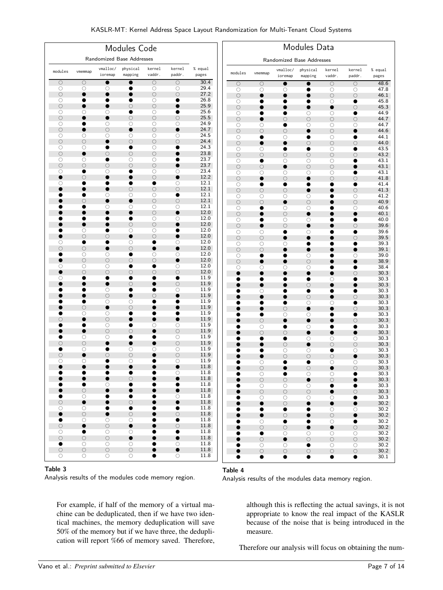| KASLR-MT: Kernel Address Space Layout Randomization for Multi-Tenant Cloud Systems |  |  |  |
|------------------------------------------------------------------------------------|--|--|--|
|------------------------------------------------------------------------------------|--|--|--|

<span id="page-7-0"></span>

|                      | Modules Code<br>Randomized Base Addresses |                        |                                    |                        |                      |                  |  |
|----------------------|-------------------------------------------|------------------------|------------------------------------|------------------------|----------------------|------------------|--|
| modules              | vmemmap                                   | vmalloc/<br>ioremap    | physical<br>mapping                | kernel<br>vaddr.       | kernel<br>paddr.     | % equal<br>pages |  |
| $\circ$              | O                                         | 0                      | 0                                  | $\circ$                | $\circ$              | 30.4             |  |
| $\circ$              | О                                         | О                      | $\bullet$                          | $\circ$                | О                    | 29.4             |  |
| $\circ$<br>$\circ$   | $\bullet$<br>$\bullet$                    | $\bullet$<br>$\bullet$ | $\bullet$<br>$\bullet$             | $\circ$<br>$\bigcirc$  | $\circ$              | 27.2<br>26.8     |  |
| $\circ$              | $\bullet$                                 | $\bullet$              | $\circ$                            | $\circ$                | $\bullet$            | 25.9             |  |
| $\circ$              | $\circ$                                   | $\circ$                | $\bullet$                          | $\circ$                | $\bullet$            | 25.6             |  |
| $\circ$              | $\bullet$                                 | $\bullet$              | $\bigcirc$                         | $\bigcirc$             | $\bigcirc$           | 25.5             |  |
| $\circ$              | $\bullet$                                 | $\circ$                | $\circ$                            | $\circ$                | O                    | 24.9             |  |
| $\circ$<br>$\circ$   | $\bullet$<br>$\circ$                      | $\circ$<br>O           | $\bullet$<br>$\circ$               | $\circ$<br>$\circ$     | $\bullet$<br>Ω       | 24.7<br>24.5     |  |
| $\circ$              | $\circ$                                   | $\bullet$              | $\circ$                            | $\circ$                | $\bigcirc$           | 24.4             |  |
| $\circ$              | $\circ$                                   | $\bullet$              | $\bullet$                          | $\circ$                | $\bullet$            | 24.3             |  |
| $\circ$              | $\bullet$                                 | $\circ$                | $\circ$                            | $\circ$                | $\bullet$            | 23.8             |  |
| $\circ$              | О                                         | $\bullet$              | $\circ$                            | $\circ$                |                      | 23.7             |  |
| $\circ$              | $\circ$                                   | $\circ$                | $\circ$                            | $\circ$                | $\bullet$            | 23.7             |  |
| $\circ$<br>$\bullet$ | $\bullet$<br>$\circ$                      | $\circ$<br>$\bullet$   | $\bullet$<br>$\bullet$             | $\circ$<br>$\circ$     | Ω<br>$\bullet$       | 23.4<br>12.2     |  |
| О                    | $\bullet$                                 | $\bullet$              | $\bullet$                          | $\bullet$              | O                    | 12.1             |  |
| $\bullet$            | $\bullet$                                 | $\bullet$              | $\bigcirc$                         | $\circ$                | $\bigcirc$           | 12.1             |  |
| ●                    | $\bullet$                                 | $\circ$                | $\circ$                            | $\circ$                | $\bullet$            | 12.1             |  |
|                      | $\circ$                                   | $\bullet$              | $\bullet$                          | $\circ$                | $\bigcirc$           | 12.1             |  |
| ●                    | $\bullet$                                 | O                      | O                                  | $\circ$                | O                    | 12.1             |  |
|                      | $\bullet$                                 | $\bullet$              | $\bullet$                          | $\bigcirc$             | $\bullet$            | 12.0             |  |
| ●<br>$\bullet$       | $\bullet$<br>$\bullet$                    | $\bullet$<br>$\bullet$ | $\bullet$<br>$\circ$               | O<br>$\circ$           | O<br>$\bullet$       | 12.0<br>12.0     |  |
| ●                    | $\circ$                                   | $\bullet$              | $\circ$                            | O                      | $\bullet$            | 12.0             |  |
| 0                    | $\circ$                                   | $\circ$                | $\bullet$                          | $\circ$                | $\bullet$            | 12.0             |  |
| О                    | $\bullet$                                 | $\bullet$              | O                                  | $\bullet$              | O                    | 12.0             |  |
| $\circ$              | $\circ$                                   | $\bullet$              | $\circ$                            | $\bullet$              | $\bullet$            | 12.0             |  |
| $\bullet$            | $\circ$                                   | $\bigcirc$             | $\bullet$                          | $\circ$                | O                    | 12.0             |  |
| $\bullet$<br>O       | $\circ$<br>$\circ$                        | $\circ$<br>O           | $\circ$<br>$\bullet$               | $\circ$<br>$\bullet$   | $\bullet$<br>O       | 12.0<br>12.0     |  |
| $\bullet$            | $\circ$                                   | $\circ$                | $\circ$                            | $\circ$                | $\bigcirc$           | 12.0             |  |
| O                    | $\bullet$                                 | $\bullet$              | $\bullet$                          | $\bullet$              | $\bullet$            | 11.9             |  |
| $\bullet$            | $\bullet$                                 | $\bullet$              | $\circ$                            | $\bullet$              | $\circ$              | 11.9             |  |
|                      |                                           | $\circ$                | $\bullet$                          |                        | O                    | 11.9             |  |
| $\bullet$            | $\bullet$                                 | $\circ$                | $\bullet$                          | $\bigcirc$             | $\bullet$            | 11.9             |  |
|                      | $\bullet$<br>$\bigcirc$                   | $\circ$<br>$\bullet$   | $\circ$<br>$\circ$                 |                        | $\bullet$<br>0       | 11.9<br>11.9     |  |
| $\bullet$            | $\circ$                                   | $\circ$                | $\bullet$                          | $\bullet$<br>$\bullet$ | $\bullet$            | 11.9             |  |
| $\circ$              | $\bullet$                                 | $\circ$                | $\bullet$                          | $\bullet$              | $\bullet$            | 11.9             |  |
|                      | $\bullet$                                 | $\circ$                |                                    | $\circ$                | $\bigcirc$           | 11.9             |  |
| $\bullet$            | $\bullet$                                 | $\circ$                | $\bigcirc$                         | $\bullet$              | $\circ$              | 11.9             |  |
| 0                    | O                                         | O                      | $\bullet$                          | $\bullet$              | O                    | 11.9             |  |
| $\circ$              | $\circ$                                   | $\bullet$              | $\bullet$                          | 0                      | $\circ$              | 11.9             |  |
| $\bullet$<br>$\circ$ | $\circ$<br>$\bullet$                      | $\bullet$<br>$\circ$   | О<br>$\circ$                       | O<br>$\bullet$         | $\circ$<br>$\circ$   | 11.9<br>11.9     |  |
| $\circ$              | О                                         | $\bullet$              | $\circ$                            |                        | O                    | 11.9             |  |
| $\bullet$            | ●                                         | $\bullet$              | $\bullet$                          | $\bullet$              | $\bullet$            | 11.8             |  |
|                      |                                           |                        |                                    |                        | О                    | 11.8             |  |
|                      | $\bullet$                                 | $\bullet$              | $\circ$                            | $\bullet$              | $\bullet$            | 11.8             |  |
| $\bullet$            | $\bullet$                                 | $\circ$                | $\bullet$                          | $\bullet$              | $\bullet$            | 11.8             |  |
| $\bullet$            | $\circ$<br>$\circ$                        | $\bullet$              | $\bullet$                          | $\bullet$              | $\bullet$            | 11.8<br>11.8     |  |
| $\bullet$            | $\bullet$                                 | $\bullet$<br>$\bullet$ | $\bullet$<br>$\circ$               | $\bullet$              | $\circ$<br>$\bullet$ | 11.8             |  |
| $\sum_{i=1}^{n}$     | $\overline{\bigcirc}$                     | $\bullet$              | $\bullet$                          | $\bullet$              | $\bullet$            | 11.8             |  |
| $\bullet$            | $\bar{\circ}$                             | $\ddot{\bullet}$       | $\circ$                            | $\ddot{\bullet}$       | $\bigcirc$           | 11.8             |  |
| $\bullet$            | $\circ$                                   | $\circ$                | $\circ$                            | $\bullet$              | $\bullet$            | 11.8             |  |
| $\circ$              | $\bullet$                                 | $\bigcirc$             | $\bullet$                          | $\bullet$              | $\circ$              | 11.8             |  |
|                      | $\bullet$                                 | $\circ$                | $\circ$                            | $\bullet$              | $\bullet$            | 11.8             |  |
| $\bullet$            | $\circ$<br>$\overline{\bigcirc}$          | $\circ$<br>$\circ$     | $\bullet$<br>$\overline{\bigcirc}$ |                        | $\bullet$            | 11.8<br>11.8     |  |
| $\overline{\circ}$   | $\bar{\circ}$                             | $\overline{O}$         | $\overline{O}$                     | $\bullet$              | $\circ$              | 11.8             |  |
| $\circ$              | $\circ$                                   | $\circ$                | $\circ$                            | $\bullet$              | $\circ$              | 11.8             |  |

Analysis results of the modules code memory region.

For example, if half of the memory of a virtual machine can be deduplicated, then if we have two identical machines, the memory deduplication will save 50% of the memory but if we have three, the deduplication will report %66 of memory saved. Therefore,

|                        |                        |                           | Modules Data            |                        |                         |                  |
|------------------------|------------------------|---------------------------|-------------------------|------------------------|-------------------------|------------------|
|                        |                        | Randomized Base Addresses |                         |                        |                         |                  |
| modules                | vmemmap                | vmalloc/<br>ioremap       | physical<br>mapping     | kernel<br>vaddr.       | kernel<br>paddr.        | % equal<br>pages |
| $\circ$                | O                      | 0                         | o                       | 0                      | 0                       | 48.6             |
| $\circ$<br>$\circ$     | $\circ$<br>$\bullet$   | O<br>$\bullet$            | $\bullet$<br>$\bullet$  | O<br>$\circ$           | О<br>$\circ$            | 47.8<br>46.1     |
| $\circ$                | $\bullet$              | $\bullet$                 | $\bullet$               | O                      | $\bullet$               | 45.8             |
| $\circ$                | $\bullet$              | $\bullet$                 | $\bullet$               | $\bullet$              | $\circ$                 | 45.3             |
| $\circ$<br>$\circ$     | $\bullet$<br>$\bullet$ | $\bullet$<br>$\circ$      | O<br>$\circ$            | O<br>$\circ$           | $\bullet$<br>$\circ$    | 44.9<br>44.7     |
| $\circ$                | О                      | $\bullet$                 | O                       | O                      | O                       | 44.7             |
| $\circ$                | $\circ$                | $\circ$                   | $\bullet$               | $\circ$                | $\bullet$               | 44.6<br>44.1     |
| $\circ$<br>$\circ$     | $\bullet$<br>$\bullet$ | $\circ$<br>$\bullet$      | $\bullet$<br>$\circ$    | O<br>$\circ$           | $\bullet$<br>$\bigcirc$ | 44.0             |
| O                      | O                      | $\bullet$                 | $\bullet$               | O                      | $\bullet$               | 43.5             |
| $\circ$<br>$\circ$     | $\circ$<br>$\bullet$   | $\circ$<br>$\circ$        | $\circ$<br>$\circ$      | $\circ$<br>O           | $\bigcirc$<br>●         | 43.2<br>43.1     |
| $\circ$                | $\circ$                | $\bullet$                 | O                       | $\circ$                | $\bullet$               | 43.1             |
| $\circ$                | O                      | O                         | O                       | O                      | $\bullet$               | 43.1             |
| $\circ$<br>O           | $\bullet$<br>$\bullet$ | $\circ$<br>$\bullet$      | $\bullet$<br>$\bullet$  | $\bigcirc$             | $\bigcirc$<br>$\bullet$ | 41.8<br>41.4     |
| $\circ$                | $\circ$                | $\circ$                   | $\bullet$               | $\bullet$              | $\circ$                 | 41.3             |
| O                      | O                      | $\circ$                   | O                       | 0                      | O                       | 41.2             |
| $\circ$<br>$\circ$     | $\circ$<br>$\bullet$   | $\bullet$<br>O            | O<br>O                  | $\bullet$<br>$\bullet$ | $\circ$<br>$\circ$      | 40.9<br>40.6     |
| $\circ$                | $\bullet$              | $\circ$                   | $\bullet$               | $\bullet$              | $\bullet$               | 40.1             |
| O                      | $\bullet$              | $\circ$                   | O                       |                        |                         | 40.0             |
| $\circ$<br>$\circ$     | $\bullet$<br>O         | $\circ$<br>$\bullet$      | $\bullet$<br>O          | $\bullet$<br>0         | $\circ$<br>$\bullet$    | 39.6<br>39.6     |
| $\circ$                | $\circ$                | $\bullet$                 | $\bullet$               | $\bullet$              | $\circ$                 | 39.5             |
| $\circ$                | $\circ$                | O                         | $\bullet$               | ●                      | $\bullet$               | 39.3             |
| $\circ$<br>O           | $\circ$<br>$\bullet$   | $\bullet$                 | $\bullet$<br>O          | $\bullet$              | $\bullet$<br>O          | 39.1<br>39.0     |
| $\circ$                | $\bullet$              | $\bullet$                 | $\circ$                 | 0                      | $\bullet$               | 38.9             |
| O                      | $\circ$                | O                         | O                       |                        | $\bullet$               | 38.4             |
| $\bullet$<br>$\bullet$ | $\bullet$<br>$\bullet$ | $\bullet$<br>$\bullet$    | $\bullet$<br>$\bullet$  | $\bullet$<br>O         | $\bigcirc$<br>$\bullet$ | 30.3<br>30.3     |
| $\bullet$              | $\bullet$              | $\bullet$                 | $\circ$                 | $\bullet$              | $\bullet$               | 30.3             |
| $\bullet$              | $\circ$<br>$\bullet$   | $\bullet$                 | $\circ$                 | $\bullet$              | $\bullet$<br>$\bigcirc$ | 30.3<br>30.3     |
| $\bullet$              | $\bullet$              | $\bullet$                 | О                       | O                      | $\bullet$               | 30.3             |
| $\bullet$              | $\bullet$              | $\circ$                   | $\bullet$               | ●                      | $\circ$                 | 30.3             |
| ●<br>$\bullet$         | $\bullet$<br>$\circ$   | $\circ$<br>$\bullet$      | О<br>$\bullet$          | $\bullet$<br>$\bullet$ | $\bullet$<br>$\circ$    | 30.3<br>30.3     |
|                        | $\circ$                | $\bullet$                 | O                       |                        | $\bullet$               | 30.3             |
| $\bullet$              | $\circ$                | $\circ$                   | $\bullet$               | $\bullet$              | $\bullet$               | 30.3             |
| 0<br>$\bullet$         | $\bullet$<br>$\bullet$ | $\bullet$<br>$\circ$      | O<br>$\bullet$          | O<br>$\circ$           | O<br>$\circ$            | 30.3<br>30.3     |
| $\bullet$              | $\bullet$              | $\circ$                   | $\circ$                 |                        | $\circ$                 | 30.3             |
| $\bullet$              | $\bullet$              | $\circ$                   | $\circ$                 | $\circ$                | $\bullet$               | 30.3             |
| $\bullet$              | $\circ$<br>$\circ$     | $\bullet$<br>$\bullet$    | $\bullet$<br>$\circ$    | O<br>$\bullet$         | O<br>$\circ$            | 30.3<br>30.3     |
|                        | О                      |                           | О                       | О                      |                         | 30.3             |
|                        | $\bar{\circ}$          | $\circ$                   | $\bullet$               | $\circ$                | $\bullet$               | 30.3             |
| $\bullet$<br>$\bullet$ | $\circ$<br>$\circ$     | $\circ$<br>$\bigcirc$     | $\circ$<br>$\circ$      | $\bullet$<br>$\bullet$ | $\bullet$<br>$\circ$    | 30.3<br>30.3     |
| 0                      | $\circ$                | $\circ$                   | $\circ$                 | $\circ$                | $\bullet$               | 30.3             |
| $\bullet$<br>0         | $\bullet$              | $\bigcirc$                | $\bullet$               | $\bullet$              | $\bullet$               | 30.2             |
| $\bullet$              | $\bullet$<br>$\bullet$ | $\bullet$<br>$\bigcirc$   | $\bullet$<br>$\bullet$  | $\circ$<br>$\circ$     | $\circ$<br>$\bullet$    | 30.2<br>30.2     |
| $\bullet$              | $\frac{0}{0}$          | $\bullet$                 | $\bullet$               | $\circ$                | $\bullet$               | 30.2             |
| $\bullet$<br>$\bullet$ |                        | $\bigcirc$                | $\bullet$               | $\bullet$              | $\circ$                 | 30.2<br>30.2     |
| $\bullet$              | $\bullet$<br>$\circ$   | $\circ$<br>$\bullet$      | $\circ$<br>$\circ$      | $\circ$<br>$\circ$     | $\circ$<br>$\circ$      | 30.2             |
| $\bullet$              | $\circ$                | $\circ$                   | $\bullet$               | $\circ$                | $\circ$                 | 30.2             |
| $\bullet$<br>$\bullet$ | $\circ$<br>$\bullet$   | $\bigcirc$<br>$\bullet$   | $\bigcirc$<br>$\bullet$ | $\circ$<br>$\bullet$   | $\circ$<br>$\bullet$    | 30.2<br>30.1     |
|                        |                        |                           |                         |                        |                         |                  |

#### Table 4

Analysis results of the modules data memory region.

although this is reflecting the actual savings, it is not appropriate to know the real impact of the KASLR because of the noise that is being introduced in the measure.

Therefore our analysis will focus on obtaining the num-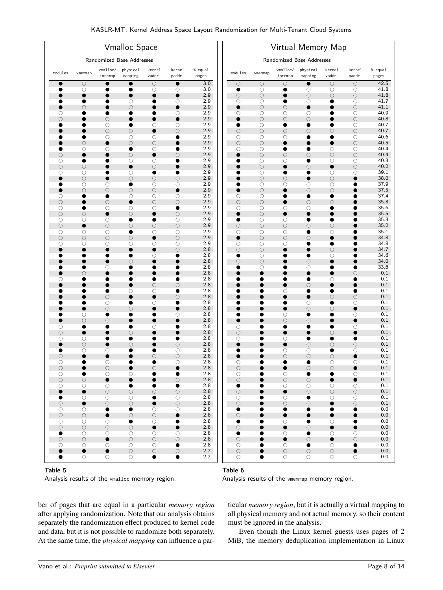<span id="page-8-0"></span>

| modules<br>n<br>O<br>$\circ$<br>●<br>$\circ$<br>$\circ$ | vmemmap<br>$\circ$<br>$\circ$<br>●<br>$\bullet$<br>$\circ$<br>●<br>$\bullet$ | vmalloc/<br>ioremap<br>c | Randomized Base Addresses<br>physical<br>mapping | kernel<br>vaddr.         |                         |                  |                           |                        |                          |                          |                        |                          |                  |
|---------------------------------------------------------|------------------------------------------------------------------------------|--------------------------|--------------------------------------------------|--------------------------|-------------------------|------------------|---------------------------|------------------------|--------------------------|--------------------------|------------------------|--------------------------|------------------|
|                                                         |                                                                              |                          |                                                  |                          |                         |                  | Randomized Base Addresses |                        |                          |                          |                        |                          |                  |
|                                                         |                                                                              |                          |                                                  |                          | kernel<br>paddr.        | % equal<br>pages | modules                   | vmemmap                | vmalloc/<br>ioremap      | physical<br>mapping      | kernel<br>vaddr.       | kernel<br>paddr.         | % equal<br>pages |
|                                                         |                                                                              |                          |                                                  | $\circ$                  | $\bullet$               | 3.0              | $\circ$                   | $\circ$                | O                        | $\bullet$                | $\circ$                | $\circ$                  | 42.5             |
|                                                         |                                                                              |                          | $\bullet$                                        | $\circ$<br>●             | О<br>$\bullet$          | 3.0<br>2.9       | $\bullet$<br>$\circ$      | $\circ$<br>$\circ$     | e<br>●                   | $\circ$<br>$\circ$       | O<br>О                 | О<br>$\circ$             | 41.8<br>41.8     |
|                                                         |                                                                              |                          | О                                                | $\bullet$                | О                       | 2.9              | $\circ$                   | $\circ$                | $\bullet$                | $\circ$                  |                        | $\circ$                  | 41.7             |
|                                                         |                                                                              |                          | $\circ$                                          |                          | $\bullet$               | 2.9              | $\bullet$                 | $\circ$                | $\circ$                  | $\bullet$                | ●                      | $\circ$                  | 41.1             |
|                                                         |                                                                              | 0<br>$\circ$             | $\bullet$<br>$\bullet$                           | ●<br>$\bullet$           | O<br>$\bullet$          | 2.9<br>2.9       | $\circ$<br>$\bullet$      | $\circ$<br>$\circ$     | О<br>$\circ$             | $\circ$<br>$\circ$       | $\bullet$              | O<br>$\circ$             | 40.9<br>40.8     |
|                                                         | $\bullet$                                                                    | $\circ$                  | $\bullet$                                        | О                        | $\circ$                 | 2.9              |                           | O                      |                          |                          | 0                      | О                        | 40.7             |
|                                                         | ●                                                                            | $\circ$                  | $\circ$                                          | $\bullet$                | $\circ$                 | 2.9              | $\circ$                   | $\circ$                | $\circ$                  | $\circ$                  | O                      | $\circ$                  | 40.7             |
|                                                         | $\bullet$                                                                    | $\circ$                  | $\circ$                                          | $\circ$                  |                         | 2.9              | $\circ$                   | $\circ$                | О                        | $\bullet$                | $\bullet$              | $\circ$                  | 40.6             |
|                                                         | $\circ$<br>$\circ$                                                           | $\bullet$<br>О           | $\circ$<br>$\bullet$                             | $\circ$<br>$\circ$       | ●                       | 2.9<br>2.9       | $\circ$<br>$\circ$        | $\circ$<br>$\circ$     | ●<br>$\bullet$           | $\bullet$                | $\bullet$<br>O         | $\bigcirc$<br>O          | 40.5<br>40.4     |
|                                                         | $\bullet$                                                                    | $\bullet$                | $\circ$                                          | $\bullet$                | $\circ$                 | 2.9              | $\bullet$                 | $\circ$                | $\circ$                  | $\circ$                  | $\circ$                | $\circ$                  | 40.4             |
|                                                         | $\bullet$                                                                    |                          | $\circ$                                          | $\circ$                  |                         | 2.9              | 0                         | $\circ$                | $\circ$                  |                          | O                      | $\circ$                  | 40.3             |
| $\circ$                                                 | $\circ$                                                                      | $\bullet$                | $\bullet$                                        | $\circ$                  | $\bullet$               | 2.9              | e                         | $\circ$                | $\bullet$                | $\circ$                  | $\bullet$              | $\circ$                  | 40.2             |
| $\circ$                                                 | $\circ$<br>$\circ$                                                           | $\bullet$                | О<br>$\circ$                                     | $\bullet$<br>$\circ$     | 0<br>$\circ$            | 2.9<br>2.9       | 0                         | $\circ$<br>$\circ$     | $\bullet$<br>$\circ$     | $\bullet$<br>$\bullet$   | O<br>$\circ$           | O                        | 39.1<br>38.C     |
| $\bullet$                                               | $\circ$                                                                      | О                        | $\bullet$                                        | $\circ$                  | О                       | 2.9              | ●                         | $\circ$                | О                        | $\circ$                  | О                      |                          | 37.9             |
| $\bullet$                                               | $\circ$                                                                      | $\circ$                  | $\circ$                                          | $\circ$                  | $\bullet$               | 2.9              | $\bullet$                 | $\circ$                | $\bullet$                | $\circ$                  | О                      |                          | 37.5             |
| О                                                       | $\bullet$                                                                    | $\bullet$                | $\circ$                                          | $\circ$                  | О                       | 2.9              | $\circ$                   | $\circ$                |                          | $\bullet$                | $\bullet$              |                          | 37.4             |
| $\circ$<br>$\circ$                                      | $\bullet$<br>$\bullet$                                                       | $\circ$<br>О             | $\bullet$<br>О                                   | $\circ$<br>$\circ$       | $\circ$<br>$\bullet$    | 2.9<br>2.9       | $\circ$<br>$\circ$        | $\circ$<br>$\circ$     | $\bullet$<br>$\circ$     | $\circ$<br>$\circ$       | О                      |                          | 35.8<br>35.6     |
| $\circ$                                                 | $\circ$                                                                      | $\bullet$                | $\circ$                                          | ●                        | $\circ$                 | 2.9              | ●                         | $\circ$                | $\bullet$                | ●                        |                        |                          | 35.5             |
| $\circ$                                                 | $\circ$                                                                      | О                        | $\bullet$                                        | $\bullet$                | $\circ$                 | 2.9              | $\bullet$                 | $\circ$                | О                        | $\bullet$                | ●                      |                          | 35.3             |
| $\circ$                                                 | $\bullet$                                                                    | $\circ$                  | $\circ$                                          | $\circ$                  | $\circ$                 | 2.9              | $\circ$                   | $\circ$                | $\circ$                  | $\circ$                  | $\circ$                |                          | 35.2             |
| $\circ$<br>$\circ$                                      | $\circ$<br>$\bigcirc$                                                        | $\circ$<br>$\circ$       | $\bullet$<br>$\circ$                             | $\circ$<br>$\bullet$     | $\circ$<br>$\circ$      | 2.9<br>2.9       | $\circ$<br>$\bullet$      | $\circ$<br>$\circ$     | О<br>$\circ$             | $\bullet$<br>$\circ$     | О<br>0                 |                          | 35.1<br>34.8     |
| $\circ$                                                 | $\circ$                                                                      | О                        | О                                                | $\circ$                  | О                       | 2.9              | $\circ$                   | $\circ$                | O                        |                          | ●                      |                          | 34.8             |
|                                                         |                                                                              | $\bullet$                | $\bullet$                                        |                          | $\circ$                 | 2.8              | $\circ$                   | $\circ$                | $\bullet$                |                          | $\circ$                |                          | 34.7             |
| $\bullet$                                               | $\bullet$                                                                    | $\bullet$                | $\bullet$                                        | О                        |                         | 2.8              | $\bullet$                 | $\circ$                | $\bullet$                |                          | О                      |                          | 34.6             |
| O                                                       | ●<br>$\bullet$                                                               | $\bullet$<br>O           | $\circ$<br>$\bullet$                             | ●                        | O                       | 2.8<br>2.8       | $\circ$<br>$\bullet$      | $\circ$<br>$\circ$     | $\bullet$<br>0           | $\circ$<br>$\circ$       | 0<br>0                 |                          | 34.0<br>33.6     |
|                                                         | $\circ$                                                                      |                          | $\bullet$                                        | O                        | 0                       | 2.8              | $\bullet$                 | $\bullet$              | 0                        | $\bullet$                | 0                      | Ω                        | 0.1              |
| О                                                       |                                                                              |                          | $\bullet$                                        |                          | 0                       | 2.8              | e                         |                        |                          | $\bullet$                | О                      |                          | 0.1              |
|                                                         |                                                                              |                          | ●                                                | $\circ$                  | $\circ$                 | 2.8              |                           |                        | ●                        | $\circ$                  | ●                      |                          | 0.1              |
|                                                         | $\bullet$<br>●                                                               | $\bullet$<br>$\circ$     | $\circ$<br>$\bullet$                             | $\circ$<br>$\bullet$     | $\circ$                 | 2.8<br>2.8       | 0<br>n                    | ●                      | О<br>$\bullet$           | $\bullet$                | $\circ$                | $\circ$                  | 0.1<br>0.1       |
|                                                         | O                                                                            | О                        |                                                  | О                        | ●                       | 2.8              |                           | e                      |                          | O                        | $\bullet$              | O                        | 0.1              |
|                                                         | 0                                                                            | $\circ$                  | $\circ$                                          | $\bullet$                | 0                       | 2.8              |                           | 0                      | $\bullet$                | $\circ$                  | $\circ$                |                          | 0.1              |
|                                                         | О                                                                            | $\bullet$                | $\bullet$                                        | ●                        | O                       | 2.8              | e                         | 0                      | O                        | $\bullet$                | 0                      | O                        | 0.1              |
| $\circ$                                                 | $\circ$<br>$\bullet$                                                         | $\circ$<br>$\bullet$     | ●<br>$\bullet$                                   | О                        |                         | 2.8<br>2.8       | $\circ$                   | $\bullet$              | O<br>$\bullet$           | $\circ$<br>$\bullet$     | ●                      | $\circ$                  | 0.1<br>0.1       |
| $\circ$                                                 | $\bullet$                                                                    |                          | $\circ$                                          | O                        |                         | 2.8              | $\circ$                   | $\bullet$              | $\bullet$                | $\bullet$                | $\circ$                |                          | 0.1              |
| $\circ$                                                 | $\circ$                                                                      |                          | $\bullet$                                        |                          |                         | 2.8              | $\circ$                   |                        | О                        | 0                        | 0                      |                          | 0.1              |
|                                                         | $\bigcirc$                                                                   |                          | $\circ$                                          | O                        | $\circ$                 | 2.8              | Ð                         |                        | 0                        | $\circ$                  | $\circ$                | $\circ$                  | 0.1              |
| $\circ$                                                 | О<br>A                                                                       | О<br>●                   | $\bullet$<br>O                                   | 0<br>O                   | $\circ$<br>$\circ$      | 2.8<br>2.8       | e<br>a                    |                        | О<br>$\circ$             | O<br>$\circ$             | $\bullet$<br>$\circ$   | O                        | 0.1<br>0.1       |
| $\circ$                                                 | 0                                                                            | $\circ$                  |                                                  | 0                        | $\circ$                 | 2.8              | $\circ$                   |                        | $\bullet$                | $\bullet$                | $\circ$                | O                        | 0.1              |
| $\bigcirc$                                              |                                                                              | ∩                        |                                                  | ∩                        |                         | 2.8              | $\bigcirc$                |                        |                          | ∩                        | ∩                      |                          | 0.1              |
| $\bigcirc$                                              | $\bullet$                                                                    | $\bigcirc$               | $\circ$                                          |                          | $\bullet$               | 2.8              | $\circ$                   | $\bullet$              | $\bigcirc$               | $\bullet$                | $\bullet$              | $\bigcirc$               | 0.1              |
| $\bigcirc$<br>$\bigcirc$                                | $\bigcirc$<br>$\bigcirc$                                                     | $\bullet$                | $\bullet$<br>$\bullet$                           | $\bullet$<br>$\bullet$   | $\bigcirc$<br>$\bullet$ | 2.8<br>2.8       | $\circ$<br>$\bullet$      | $\bullet$<br>$\bullet$ | $\bigcirc$<br>$\circ$    | $\bigcirc$               | $\bullet$<br>$\circ$   | $\bullet$                | 0.1<br>0.1       |
| $\bullet$                                               | $\bullet$                                                                    | $\bigcirc$<br>$\bigcirc$ | $\bigcirc$                                       | $\circ$                  | $\bigcirc$              | 2.8              | $\bigcirc$                | $\bullet$              | $\bullet$                | $\bigcirc$<br>$\bigcirc$ | $\bigcirc$             | $\bigcirc$<br>$\bigcirc$ | 0.1              |
| $\bullet$                                               | $\bigcirc$                                                                   | $\bigcirc$               | $\circ$                                          | $\bullet$                | $\bigcirc$              | 2.8              | $\bigcirc$                | $\bullet$              | $\bigcirc$               | $\bullet$                | О                      | $\bigcirc$               | 0.1              |
| $\bigcirc$                                              | $\bullet$                                                                    | $\bigcirc$               | $\bigcirc$                                       | $\bullet$                | $\bigcirc$              | 2.8              | $\bigcirc$                | $\bullet$              | $\bigcirc$               | $\bigcirc$               | $\bullet$              | $\bigcirc$               | 0.1              |
| $\bigcirc$<br>$\circ$                                   | $\bigcirc$                                                                   | $\bullet$<br>$\bullet$   | $\bullet$<br>$\bigcirc$                          | $\bigcirc$<br>$\bigcirc$ | $\bigcirc$<br>$\bullet$ | 2.8<br>2.8       | $\bullet$<br>$\circ$      | $\bullet$<br>$\bullet$ | $\bullet$<br>$\bullet$   | $\bullet$                | $\bullet$<br>$\bullet$ | $\bullet$<br>$\bullet$   | 0.0<br>0.0       |
| $\bigcirc$                                              | $\circ$<br>$\bigcirc$                                                        | $\bigcirc$               | $\bullet$                                        | $\bigcirc$               | $\bullet$               | 2.8              | $\bullet$                 | $\bullet$              | О                        | $\bullet$<br>$\bullet$   | $\circ$                | $\bullet$                | 0. <sub>C</sub>  |
| $\bigcirc$                                              | $\bigcirc$                                                                   | $\bigcirc$               | $\bigcirc$                                       | $\bullet$                | $\bullet$               | 2.8              | $\bigcirc$                | $\bullet$              | $\bullet$                | $\bigcirc$               | $\bullet$              | $\bullet$                | 0.0              |
| $\bullet$                                               | $\bigcirc$                                                                   | $\bigcirc$               | $\circ$                                          | $\circ$                  | $\circ$                 | 2.8              | $\bullet$                 | $\bullet$              | $\circ$                  | $\bullet$                | $\circ$                | $\bigcirc$               | 0.0              |
| $\bigcirc$                                              | $\bigcirc$                                                                   | $\bullet$                | $\bigcirc$<br>$\circ$                            | $\bigcirc$               | $\bigcirc$              | 2.8<br>2.8       | $\bigcirc$<br>$\bigcirc$  | $\bullet$              | $\bullet$                | $\bigcirc$               | $\bullet$              | $\bigcirc$               | 0.0<br>0.0       |
| $\bigcirc$<br>$\bullet$                                 | $\bigcirc$<br>$\bullet$                                                      | $\bigcirc$<br>$\bullet$  | $\bigcirc$                                       | $\bigcirc$<br>$\bigcirc$ | $\bullet$<br>$\bigcirc$ | 2.7              | $\bigcirc$                | $\bullet$<br>$\bullet$ | $\bigcirc$<br>$\bigcirc$ | $\bullet$<br>$\bigcirc$  | $\circ$<br>$\bigcirc$  | $\bullet$<br>$\bullet$   | 0.0              |
| $\bullet$                                               | $\bigcirc$                                                                   | $\bigcirc$               | $\bigcirc$                                       | $\bullet$                | $\bullet$               | 2.7              | $\bigcirc$                | $\bullet$              | $\bigcirc$               | $\bigcirc$               | $\circ$                | $\bigcirc$               | 0.0              |

Analysis results of the vmalloc memory region.

#### Table 6

Analysis results of the vmemmap memory region.

ber of pages that are equal in a particular *memory region* after applying randomization. Note that our analysis obtains separately the randomization effect produced to kernel code and data, but it is not possible to randomize both separately. At the same time, the *physical mapping* can influence a particular *memory region*, but it is actually a virtual mapping to all physical memory and not actual memory, so their content must be ignored in the analysis.

Even though the Linux kernel guests uses pages of 2 MiB, the memory deduplication implementation in Linux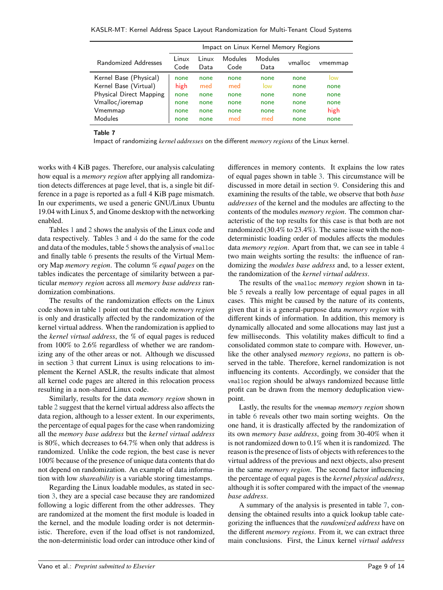<span id="page-9-0"></span>KASLR-MT: Kernel Address Space Layout Randomization for Multi-Tenant Cloud Systems

| Impact on Linux Kernel Memory Regions |                                     |                                     |                                     |                                      |                                             |
|---------------------------------------|-------------------------------------|-------------------------------------|-------------------------------------|--------------------------------------|---------------------------------------------|
| Linux<br>Code                         | Linux<br>Data                       | Modules<br>Code                     | Modules<br>Data                     | vmalloc                              | vmemmap                                     |
| none<br>high<br>none<br>none<br>none  | none<br>med<br>none<br>none<br>none | none<br>med<br>none<br>none<br>none | none<br>low<br>none<br>none<br>none | none<br>none<br>none<br>none<br>none | low<br>none<br>none<br>none<br>high<br>none |
|                                       | none                                | none                                | med                                 | med                                  | none                                        |

Impact of randomizing *kernel addresses* on the different *memory regions* of the Linux kernel.

works with 4 KiB pages. Therefore, our analysis calculating how equal is a *memory region* after applying all randomization detects differences at page level, that is, a single bit difference in a page is reported as a full 4 KiB page mismatch. In our experiments, we used a generic GNU/Linux Ubuntu 19.04 with Linux 5, and Gnome desktop with the networking enabled.

Tables [1](#page-6-0) and [2](#page-6-0) shows the analysis of the Linux code and data respectively. Tables [3](#page-7-0) and [4](#page-7-0) do the same for the code and data of the modules, table [5](#page-8-0) shows the analysis of vmalloc and finally table [6](#page-8-0) presents the results of the Virtual Memory Map *memory region*. The column *% equal pages* on the tables indicates the percentage of similarity between a particular *memory region* across all *memory base address* randomization combinations.

The results of the randomization effects on the Linux code shown in table [1](#page-6-0) point out that the code *memory region* is only and drastically affected by the randomization of the kernel virtual address. When the randomization is applied to the *kernel virtual address*, the % of equal pages is reduced from 100% to 2.6% regardless of whether we are randomizing any of the other areas or not. Although we discussed in section [3](#page-3-0) that current Linux is using relocations to implement the Kernel ASLR, the results indicate that almost all kernel code pages are altered in this relocation process resulting in a non-shared Linux code.

Similarly, results for the data *memory region* shown in table [2](#page-6-0) suggest that the kernel virtual address also affects the data region, although to a lesser extent. In our experiments, the percentage of equal pages for the case when randomizing all the *memory base address* but the *kernel virtual address* is 80%, which decreases to 64.7% when only that address is randomized. Unlike the code region, the best case is never 100% because of the presence of unique data contents that do not depend on randomization. An example of data information with low *shareability* is a variable storing timestamps.

Regarding the Linux loadable modules, as stated in section [3,](#page-3-0) they are a special case because they are randomized following a logic different from the other addresses. They are randomized at the moment the first module is loaded in the kernel, and the module loading order is not deterministic. Therefore, even if the load offset is not randomized, the non-deterministic load order can introduce other kind of

differences in memory contents. It explains the low rates of equal pages shown in table [3.](#page-7-0) This circumstance will be discussed in more detail in section [9.](#page-13-2) Considering this and examining the results of the table, we observe that both *base addresses* of the kernel and the modules are affecting to the contents of the modules *memory region*. The common characteristic of the top results for this case is that both are not randomized (30.4% to 23.4%). The same issue with the nondeterministic loading order of modules affects the modules data *memory region*. Apart from that, we can see in table [4](#page-7-0) two main weights sorting the results: the influence of randomizing the *modules base address* and, to a lesser extent, the randomization of the *kernel virtual address*.

The results of the vmalloc *memory region* shown in table [5](#page-8-0) reveals a really low percentage of equal pages in all cases. This might be caused by the nature of its contents, given that it is a general-purpose data *memory region* with different kinds of information. In addition, this memory is dynamically allocated and some allocations may last just a few milliseconds. This volatility makes difficult to find a consolidated common state to compare with. However, unlike the other analysed *memory regions*, no pattern is observed in the table. Therefore, kernel randomization is not influencing its contents. Accordingly, we consider that the vmalloc region should be always randomized because little profit can be drawn from the memory deduplication viewpoint.

Lastly, the results for the vmemmap *memory region* shown in table [6](#page-8-0) reveals other two main sorting weights. On the one hand, it is drastically affected by the randomization of its own *memory base address*, going from 30-40% when it is not randomized down to 0.1% when it is randomized. The reason is the presence of lists of objects with references to the virtual address of the previous and next objects, also present in the same *memory region*. The second factor influencing the percentage of equal pages is the *kernel physical address*, although it is softer compared with the impact of the vmemmap *base address*.

A summary of the analysis is presented in table [7,](#page-9-0) condensing the obtained results into a quick lookup table categorizing the influences that the *randomized address* have on the different *memory regions*. From it, we can extract three main conclusions. First, the Linux kernel *virtual address*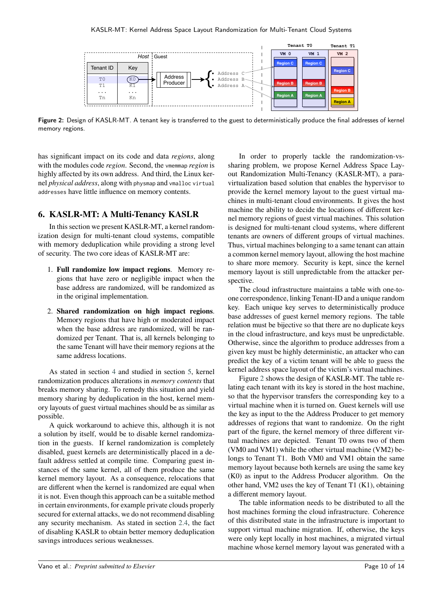<span id="page-10-1"></span>

Figure 2: Design of KASLR-MT. A tenant key is transferred to the guest to deterministically produce the final addresses of kernel memory regions.

has significant impact on its code and data *regions*, along with the modules code *region*. Second, the vmemmap *region* is highly affected by its own address. And third, the Linux kernel *physical address*, along with physmap and vmalloc virtual addresses have little influence on memory contents.

# <span id="page-10-0"></span>**6. KASLR-MT: A Multi-Tenancy KASLR**

In this section we present KASLR-MT, a kernel randomization design for multi-tenant cloud systems, compatible with memory deduplication while providing a strong level of security. The two core ideas of KASLR-MT are:

- 1. **Full randomize low impact regions**. Memory regions that have zero or negligible impact when the base address are randomized, will be randomized as in the original implementation.
- 2. **Shared randomization on high impact regions**. Memory regions that have high or moderated impact when the base address are randomized, will be randomized per Tenant. That is, all kernels belonging to the same Tenant will have their memory regions at the same address locations.

As stated in section [4](#page-4-0) and studied in section [5,](#page-5-0) kernel randomization produces alterations in *memory contents* that breaks memory sharing. To remedy this situation and yield memory sharing by deduplication in the host, kernel memory layouts of guest virtual machines should be as similar as possible.

A quick workaround to achieve this, although it is not a solution by itself, would be to disable kernel randomization in the guests. If kernel randomization is completely disabled, guest kernels are deterministically placed in a default address settled at compile time. Comparing guest instances of the same kernel, all of them produce the same kernel memory layout. As a consequence, relocations that are different when the kernel is randomized are equal when it is not. Even though this approach can be a suitable method in certain environments, for example private clouds properly secured for external attacks, we do not recommend disabling any security mechanism. As stated in section [2.4,](#page-3-1) the fact of disabling KASLR to obtain better memory deduplication savings introduces serious weaknesses.

In order to properly tackle the randomization-vssharing problem, we propose Kernel Address Space Layout Randomization Multi-Tenancy (KASLR-MT), a paravirtualization based solution that enables the hypervisor to provide the kernel memory layout to the guest virtual machines in multi-tenant cloud environments. It gives the host machine the ability to decide the locations of different kernel memory regions of guest virtual machines. This solution is designed for multi-tenant cloud systems, where different tenants are owners of different groups of virtual machines. Thus, virtual machines belonging to a same tenant can attain a common kernel memory layout, allowing the host machine to share more memory. Security is kept, since the kernel memory layout is still unpredictable from the attacker perspective.

The cloud infrastructure maintains a table with one-toone correspondence, linking Tenant-ID and a unique random key. Each unique key serves to deterministically produce base addresses of guest kernel memory regions. The table relation must be bijective so that there are no duplicate keys in the cloud infrastructure, and keys must be unpredictable. Otherwise, since the algorithm to produce addresses from a given key must be highly deterministic, an attacker who can predict the key of a victim tenant will be able to guess the kernel address space layout of the victim's virtual machines.

Figure [2](#page-10-1) shows the design of KASLR-MT. The table relating each tenant with its key is stored in the host machine, so that the hypervisor transfers the corresponding key to a virtual machine when it is turned on. Guest kernels will use the key as input to the the Address Producer to get memory addresses of regions that want to randomize. On the right part of the figure, the kernel memory of three different virtual machines are depicted. Tenant T0 owns two of them (VM0 and VM1) while the other virtual machine (VM2) belongs to Tenant T1. Both VM0 and VM1 obtain the same memory layout because both kernels are using the same key (K0) as input to the Address Producer algorithm. On the other hand, VM2 uses the key of Tenant T1 (K1), obtaining a different memory layout.

The table information needs to be distributed to all the host machines forming the cloud infrastructure. Coherence of this distributed state in the infrastructure is important to support virtual machine migration. If, otherwise, the keys were only kept locally in host machines, a migrated virtual machine whose kernel memory layout was generated with a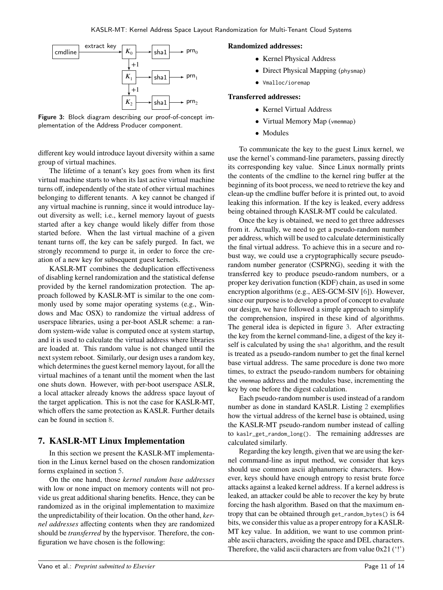<span id="page-11-1"></span>

Figure 3: Block diagram describing our proof-of-concept implementation of the Address Producer component.

different key would introduce layout diversity within a same group of virtual machines.

The lifetime of a tenant's key goes from when its first virtual machine starts to when its last active virtual machine turns off, independently of the state of other virtual machines belonging to different tenants. A key cannot be changed if any virtual machine is running, since it would introduce layout diversity as well; i.e., kernel memory layout of guests started after a key change would likely differ from those started before. When the last virtual machine of a given tenant turns off, the key can be safely purged. In fact, we strongly recommend to purge it, in order to force the creation of a new key for subsequent guest kernels.

KASLR-MT combines the deduplication effectiveness of disabling kernel randomization and the statistical defense provided by the kernel randomization protection. The approach followed by KASLR-MT is similar to the one commonly used by some major operating systems (e.g., Windows and Mac OSX) to randomize the virtual address of userspace libraries, using a per-boot ASLR scheme: a random system-wide value is computed once at system startup, and it is used to calculate the virtual address where libraries are loaded at. This random value is not changed until the next system reboot. Similarly, our design uses a random key, which determines the guest kernel memory layout, for all the virtual machines of a tenant until the moment when the last one shuts down. However, with per-boot userspace ASLR, a local attacker already knows the address space layout of the target application. This is not the case for KASLR-MT, which offers the same protection as KASLR. Further details can be found in section [8.](#page-12-0)

# <span id="page-11-0"></span>**7. KASLR-MT Linux Implementation**

In this section we present the KASLR-MT implementation in the Linux kernel based on the chosen randomization forms explained in section [5.](#page-5-0)

On the one hand, those *kernel random base addresses* with low or none impact on memory contents will not provide us great additional sharing benefits. Hence, they can be randomized as in the original implementation to maximize the unpredictability of their location. On the other hand, *kernel addresses* affecting contents when they are randomized should be *transferred* by the hypervisor. Therefore, the configuration we have chosen is the following:

### **Randomized addresses:**

- Kernel Physical Address
- Direct Physical Mapping (physmap)
- Vmalloc/ioremap

### **Transferred addresses:**

- Kernel Virtual Address
- Virtual Memory Map (vmemmap)
- Modules

To communicate the key to the guest Linux kernel, we use the kernel's command-line parameters, passing directly its corresponding key value. Since Linux normally prints the contents of the cmdline to the kernel ring buffer at the beginning of its boot process, we need to retrieve the key and clean-up the cmdline buffer before it is printed out, to avoid leaking this information. If the key is leaked, every address being obtained through KASLR-MT could be calculated.

Once the key is obtained, we need to get three addresses from it. Actually, we need to get a pseudo-random number per address, which will be used to calculate deterministically the final virtual address. To achieve this in a secure and robust way, we could use a cryptographically secure pseudorandom number generator (CSPRNG), seeding it with the transferred key to produce pseudo-random numbers, or a proper key derivation function (KDF) chain, as used in some encryption algorithms (e.g., AES-GCM-SIV [\[6\]](#page-13-9)). However, since our purpose is to develop a proof of concept to evaluate our design, we have followed a simple approach to simplify the comprehension, inspired in these kind of algorithms. The general idea is depicted in figure [3.](#page-11-1) After extracting the key from the kernel command-line, a digest of the key itself is calculated by using the sha1 algorithm, and the result is treated as a pseudo-random number to get the final kernel base virtual address. The same procedure is done two more times, to extract the pseudo-random numbers for obtaining the vmemmap address and the modules base, incrementing the key by one before the digest calculation.

Each pseudo-random number is used instead of a random number as done in standard KASLR. Listing [2](#page-12-1) exemplifies how the virtual address of the kernel base is obtained, using the KASLR-MT pseudo-random number instead of calling to kaslr\_get\_random\_long(). The remaining addresses are calculated similarly.

Regarding the key length, given that we are using the kernel command-line as input method, we consider that keys should use common ascii alphanumeric characters. However, keys should have enough entropy to resist brute force attacks against a leaked kernel address. If a kernel address is leaked, an attacker could be able to recover the key by brute forcing the hash algorithm. Based on that the maximum entropy that can be obtained through get\_random\_bytes() is 64 bits, we consider this value as a proper entropy for a KASLR-MT key value. In addition, we want to use common printable ascii characters, avoiding the space and DEL characters. Therefore, the valid ascii characters are from value 0x21 ('!')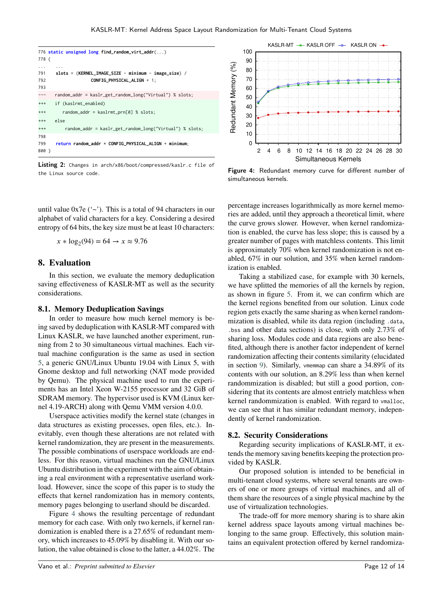<span id="page-12-1"></span>

| 778f                          | 776 static unsigned long find_random_virt_addr()                            |                                                         |
|-------------------------------|-----------------------------------------------------------------------------|---------------------------------------------------------|
| $\cdots$<br>792<br>793        | $\cdots$<br>$slots = (KERNEL_IMAGE_SIZE - minimum - image_size)$ /<br>791 — | CONFIG_PHYSICAL_ALIGN + 1;                              |
| $---$<br>$^{+++}$<br>$^{+++}$ | if (kaslrmt_enabled)<br>$random\_addr = kas1rmt_prn[0] % slots;$            | random_addr = kaslr_get_random_long("Virtual") % slots; |
| $^{+++}$<br>$^{+++}$          | else                                                                        | random_addr = kaslr_get_random_long("Virtual") % slots; |
| 798<br>799<br>800 }           | $return random\_addr \times CONFIG_PHYSTCAL_ALIGN + minimum;$               |                                                         |

Listing 2: Changes in arch/x86/boot/compressed/kaslr.c file of the Linux source code.

until value  $0x7e$  ('~'). This is a total of 94 characters in our alphabet of valid characters for a key. Considering a desired entropy of 64 bits, the key size must be at least 10 characters:

$$
x * \log_2(94) = 64 \to x \approx 9.76
$$

# <span id="page-12-0"></span>**8. Evaluation**

In this section, we evaluate the memory deduplication saving effectiveness of KASLR-MT as well as the security considerations.

### **8.1. Memory Deduplication Savings**

In order to measure how much kernel memory is being saved by deduplication with KASLR-MT compared with Linux KASLR, we have launched another experiment, running from 2 to 30 simultaneous virtual machines. Each virtual machine configuration is the same as used in section [5,](#page-5-0) a generic GNU/Linux Ubuntu 19.04 with Linux 5, with Gnome desktop and full networking (NAT mode provided by Qemu). The physical machine used to run the experiments has an Intel Xeon W-2155 processor and 32 GiB of SDRAM memory. The hypervisor used is KVM (Linux kernel 4.19-ARCH) along with Qemu VMM version 4.0.0.

Userspace activities modify the kernel state (changes in data structures as existing processes, open files, etc.). Inevitably, even though these alterations are not related with kernel randomization, they are present in the measurements. The possible combinations of userspace workloads are endless. For this reason, virtual machines run the GNU/Linux Ubuntu distribution in the experiment with the aim of obtaining a real environment with a representative userland workload. However, since the scope of this paper is to study the effects that kernel randomization has in memory contents, memory pages belonging to userland should be discarded.

Figure [4](#page-12-2) shows the resulting percentage of redundant memory for each case. With only two kernels, if kernel randomization is enabled there is a 27.65% of redundant memory, which increases to 45.09% by disabling it. With our solution, the value obtained is close to the latter, a 44.02%. The

<span id="page-12-2"></span>

Figure 4: Redundant memory curve for different number of simultaneous kernels.

percentage increases logarithmically as more kernel memories are added, until they approach a theoretical limit, where the curve grows slower. However, when kernel randomization is enabled, the curve has less slope; this is caused by a greater number of pages with matchless contents. This limit is approximately 70% when kernel randomization is not enabled, 67% in our solution, and 35% when kernel randomization is enabled.

Taking a stabilized case, for example with 30 kernels, we have splitted the memories of all the kernels by region, as shown in figure [5.](#page-13-10) From it, we can confirm which are the kernel regions benefited from our solution. Linux code region gets exactly the same sharing as when kernel randommization is disabled, while its data region (including .data, .bss and other data sections) is close, with only 2.73% of sharing loss. Modules code and data regions are also benefited, although there is another factor independent of kernel randomization affecting their contents similarity (elucidated in section [9\)](#page-13-2). Similarly, vmemmap can share a 34.89% of its contents with our solution, an 8.29% less than when kernel randommization is disabled; but still a good portion, considering that its contents are almost entriely matchless when kernel randommization is enabled. With regard to vmalloc, we can see that it has similar redundant memory, independently of kernel randomization.

#### **8.2. Security Considerations**

Regarding security implications of KASLR-MT, it extends the memory saving benefits keeping the protection provided by KASLR.

Our proposed solution is intended to be beneficial in multi-tenant cloud systems, where several tenants are owners of one or more groups of virtual machines, and all of them share the resources of a single physical machine by the use of virtualization technologies.

The trade-off for more memory sharing is to share akin kernel address space layouts among virtual machines belonging to the same group. Effectively, this solution maintains an equivalent protection offered by kernel randomiza-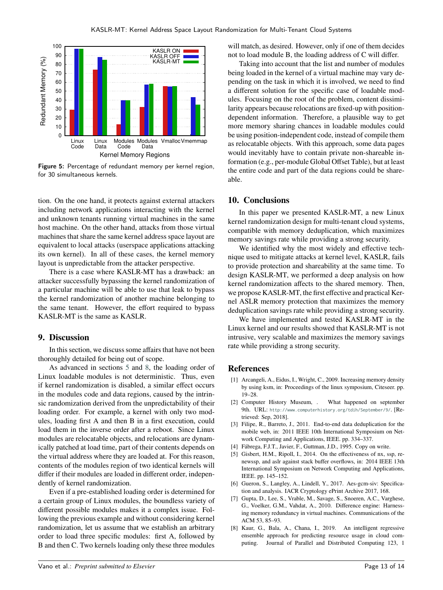<span id="page-13-10"></span>

Figure 5: Percentage of redundant memory per kernel region, for 30 simultaneous kernels.

tion. On the one hand, it protects against external attackers including network applications interacting with the kernel and unknown tenants running virtual machines in the same host machine. On the other hand, attacks from those virtual machines that share the same kernel address space layout are equivalent to local attacks (userspace applications attacking its own kernel). In all of these cases, the kernel memory layout is unpredictable from the attacker perspective.

There is a case where KASLR-MT has a drawback: an attacker successfully bypassing the kernel randomization of a particular machine will be able to use that leak to bypass the kernel randomization of another machine belonging to the same tenant. However, the effort required to bypass KASLR-MT is the same as KASLR.

### <span id="page-13-2"></span>**9. Discussion**

In this section, we discuss some affairs that have not been thoroughly detailed for being out of scope.

As advanced in sections [5](#page-5-0) and [8,](#page-12-0) the loading order of Linux loadable modules is not deterministic. Thus, even if kernel randomization is disabled, a similar effect occurs in the modules code and data regions, caused by the intrinsic randomization derived from the unpredictability of their loading order. For example, a kernel with only two modules, loading first A and then B in a first execution, could load them in the inverse order after a reboot. Since Linux modules are relocatable objects, and relocations are dynamically patched at load time, part of their contents depends on the virtual address where they are loaded at. For this reason, contents of the modules region of two identical kernels will differ if their modules are loaded in different order, independently of kernel randomization.

Even if a pre-established loading order is determined for a certain group of Linux modules, the boundless variety of different possible modules makes it a complex issue. Following the previous example and without considering kernel randomization, let us assume that we establish an arbitrary order to load three specific modules: first A, followed by B and then C. Two kernels loading only these three modules

will match, as desired. However, only if one of them decides not to load module B, the loading address of C will differ.

Taking into account that the list and number of modules being loaded in the kernel of a virtual machine may vary depending on the task in which it is involved, we need to find a different solution for the specific case of loadable modules. Focusing on the root of the problem, content dissimilarity appears because relocations are fixed-up with positiondependent information. Therefore, a plausible way to get more memory sharing chances in loadable modules could be using position-independent code, instead of compile them as relocatable objects. With this approach, some data pages would inevitably have to contain private non-shareable information (e.g., per-module Global Offset Table), but at least the entire code and part of the data regions could be shareable.

### <span id="page-13-3"></span>**10. Conclusions**

In this paper we presented KASLR-MT, a new Linux kernel randomization design for multi-tenant cloud systems, compatible with memory deduplication, which maximizes memory savings rate while providing a strong security.

We identified why the most widely and effective technique used to mitigate attacks at kernel level, KASLR, fails to provide protection and shareability at the same time. To design KASLR-MT, we performed a deep analysis on how kernel randomization affects to the shared memory. Then, we propose KASLR-MT, the first effective and practical Kernel ASLR memory protection that maximizes the memory deduplication savings rate while providing a strong security.

We have implemented and tested KASLR-MT in the Linux kernel and our results showed that KASLR-MT is not intrusive, very scalable and maximizes the memory savings rate while providing a strong security.

#### **References**

- <span id="page-13-5"></span>[1] Arcangeli, A., Eidus, I., Wright, C., 2009. Increasing memory density by using ksm, in: Proceedings of the linux symposium, Citeseer. pp. 19–28.
- <span id="page-13-1"></span>[2] Computer History Museum, . What happened on september 9th. URL: <http://www.computerhistory.org/tdih/September/9/>. [Retrieved: Sep, 2018].
- <span id="page-13-6"></span>[3] Filipe, R., Barreto, J., 2011. End-to-end data deduplication for the mobile web, in: 2011 IEEE 10th International Symposium on Network Computing and Applications, IEEE. pp. 334–337.
- <span id="page-13-8"></span>[4] Fábrega, F.J.T., Javier, F., Guttman, J.D., 1995. Copy on write.
- <span id="page-13-7"></span>[5] Gisbert, H.M., Ripoll, I., 2014. On the effectiveness of nx, ssp, renewssp, and aslr against stack buffer overflows, in: 2014 IEEE 13th International Symposium on Network Computing and Applications, IEEE. pp. 145–152.
- <span id="page-13-9"></span>[6] Gueron, S., Langley, A., Lindell, Y., 2017. Aes-gcm-siv: Specification and analysis. IACR Cryptology ePrint Archive 2017, 168.
- <span id="page-13-4"></span>[7] Gupta, D., Lee, S., Vrable, M., Savage, S., Snoeren, A.C., Varghese, G., Voelker, G.M., Vahdat, A., 2010. Difference engine: Harnessing memory redundancy in virtual machines. Communications of the ACM 53, 85–93.
- <span id="page-13-0"></span>[8] Kaur, G., Bala, A., Chana, I., 2019. An intelligent regressive ensemble approach for predicting resource usage in cloud computing. Journal of Parallel and Distributed Computing 123, 1